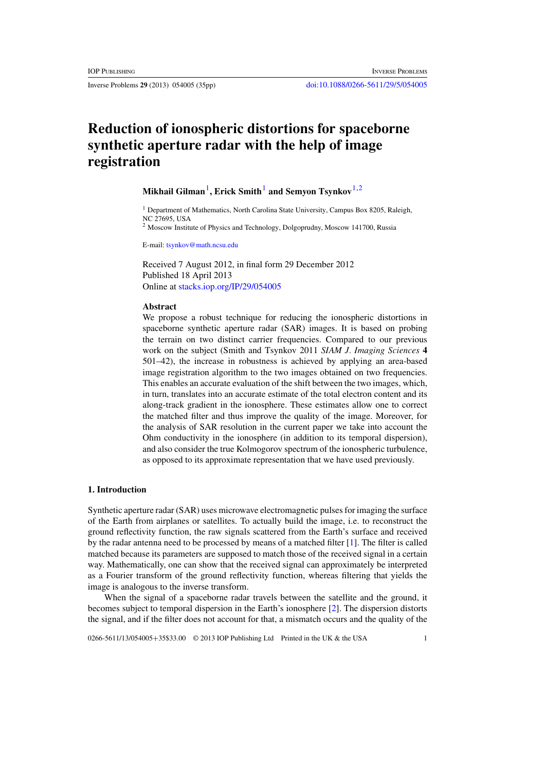# **Reduction of ionospheric distortions for spaceborne synthetic aperture radar with the help of image registration**

# Mikhail Gilman<sup>1</sup>, Erick Smith<sup>1</sup> and Semyon Tsynkov<sup>1,2</sup>

<sup>1</sup> Department of Mathematics, North Carolina State University, Campus Box 8205, Raleigh, NC 27695, USA

<sup>2</sup> Moscow Institute of Physics and Technology, Dolgoprudny, Moscow 141700, Russia

E-mail: [tsynkov@math.ncsu.edu](mailto:tsynkov@math.ncsu.edu)

Received 7 August 2012, in final form 29 December 2012 Published 18 April 2013 Online at [stacks.iop.org/IP/29/054005](http://stacks.iop.org/IP/29/054005)

# **Abstract**

We propose a robust technique for reducing the ionospheric distortions in spaceborne synthetic aperture radar (SAR) images. It is based on probing the terrain on two distinct carrier frequencies. Compared to our previous work on the subject (Smith and Tsynkov 2011 *SIAM J. Imaging Sciences* **4** 501–42), the increase in robustness is achieved by applying an area-based image registration algorithm to the two images obtained on two frequencies. This enables an accurate evaluation of the shift between the two images, which, in turn, translates into an accurate estimate of the total electron content and its along-track gradient in the ionosphere. These estimates allow one to correct the matched filter and thus improve the quality of the image. Moreover, for the analysis of SAR resolution in the current paper we take into account the Ohm conductivity in the ionosphere (in addition to its temporal dispersion), and also consider the true Kolmogorov spectrum of the ionospheric turbulence, as opposed to its approximate representation that we have used previously.

# **1. Introduction**

Synthetic aperture radar (SAR) uses microwave electromagnetic pulses for imaging the surface of the Earth from airplanes or satellites. To actually build the image, i.e. to reconstruct the ground reflectivity function, the raw signals scattered from the Earth's surface and received by the radar antenna need to be processed by means of a matched filter [\[1\]](#page-32-0). The filter is called matched because its parameters are supposed to match those of the received signal in a certain way. Mathematically, one can show that the received signal can approximately be interpreted as a Fourier transform of the ground reflectivity function, whereas filtering that yields the image is analogous to the inverse transform.

When the signal of a spaceborne radar travels between the satellite and the ground, it becomes subject to temporal dispersion in the Earth's ionosphere [\[2](#page-32-0)]. The dispersion distorts the signal, and if the filter does not account for that, a mismatch occurs and the quality of the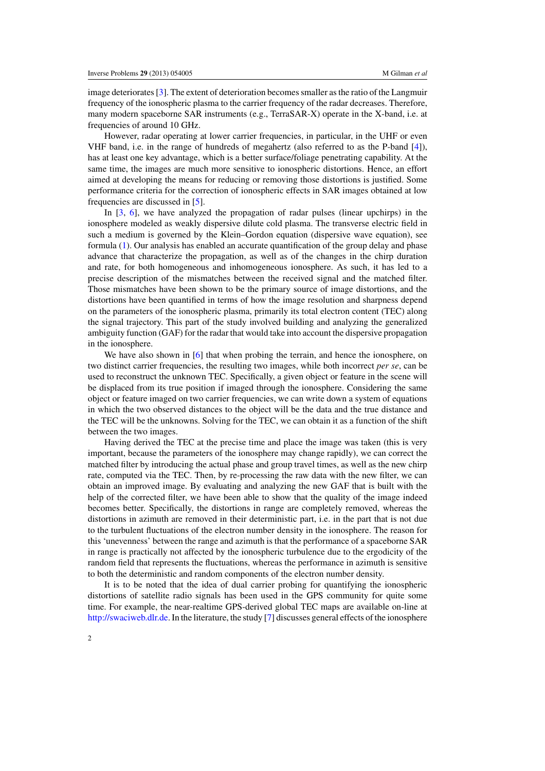image deteriorates [\[3\]](#page-32-0). The extent of deterioration becomes smaller as the ratio of the Langmuir frequency of the ionospheric plasma to the carrier frequency of the radar decreases. Therefore, many modern spaceborne SAR instruments (e.g., TerraSAR-X) operate in the X-band, i.e. at frequencies of around 10 GHz.

However, radar operating at lower carrier frequencies, in particular, in the UHF or even VHF band, i.e. in the range of hundreds of megahertz (also referred to as the P-band [\[4](#page-32-0)]), has at least one key advantage, which is a better surface/foliage penetrating capability. At the same time, the images are much more sensitive to ionospheric distortions. Hence, an effort aimed at developing the means for reducing or removing those distortions is justified. Some performance criteria for the correction of ionospheric effects in SAR images obtained at low frequencies are discussed in [\[5](#page-32-0)].

In [\[3,](#page-32-0) [6\]](#page-32-0), we have analyzed the propagation of radar pulses (linear upchirps) in the ionosphere modeled as weakly dispersive dilute cold plasma. The transverse electric field in such a medium is governed by the Klein–Gordon equation (dispersive wave equation), see formula [\(1\)](#page-4-0). Our analysis has enabled an accurate quantification of the group delay and phase advance that characterize the propagation, as well as of the changes in the chirp duration and rate, for both homogeneous and inhomogeneous ionosphere. As such, it has led to a precise description of the mismatches between the received signal and the matched filter. Those mismatches have been shown to be the primary source of image distortions, and the distortions have been quantified in terms of how the image resolution and sharpness depend on the parameters of the ionospheric plasma, primarily its total electron content (TEC) along the signal trajectory. This part of the study involved building and analyzing the generalized ambiguity function (GAF) for the radar that would take into account the dispersive propagation in the ionosphere.

We have also shown in [\[6\]](#page-32-0) that when probing the terrain, and hence the ionosphere, on two distinct carrier frequencies, the resulting two images, while both incorrect *per se*, can be used to reconstruct the unknown TEC. Specifically, a given object or feature in the scene will be displaced from its true position if imaged through the ionosphere. Considering the same object or feature imaged on two carrier frequencies, we can write down a system of equations in which the two observed distances to the object will be the data and the true distance and the TEC will be the unknowns. Solving for the TEC, we can obtain it as a function of the shift between the two images.

Having derived the TEC at the precise time and place the image was taken (this is very important, because the parameters of the ionosphere may change rapidly), we can correct the matched filter by introducing the actual phase and group travel times, as well as the new chirp rate, computed via the TEC. Then, by re-processing the raw data with the new filter, we can obtain an improved image. By evaluating and analyzing the new GAF that is built with the help of the corrected filter, we have been able to show that the quality of the image indeed becomes better. Specifically, the distortions in range are completely removed, whereas the distortions in azimuth are removed in their deterministic part, i.e. in the part that is not due to the turbulent fluctuations of the electron number density in the ionosphere. The reason for this 'unevenness' between the range and azimuth is that the performance of a spaceborne SAR in range is practically not affected by the ionospheric turbulence due to the ergodicity of the random field that represents the fluctuations, whereas the performance in azimuth is sensitive to both the deterministic and random components of the electron number density.

It is to be noted that the idea of dual carrier probing for quantifying the ionospheric distortions of satellite radio signals has been used in the GPS community for quite some time. For example, the near-realtime GPS-derived global TEC maps are available on-line at [http://swaciweb.dlr.de.](http://swaciweb.dlr.de) In the literature, the study [\[7\]](#page-32-0) discusses general effects of the ionosphere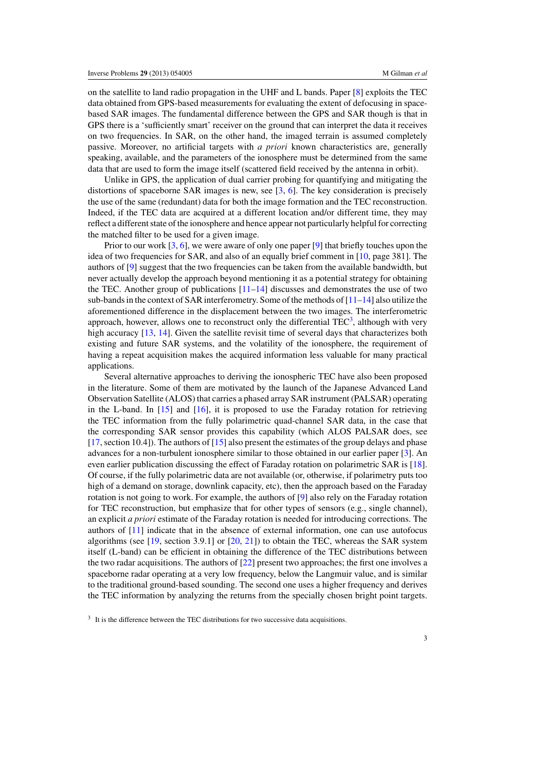on the satellite to land radio propagation in the UHF and L bands. Paper [\[8](#page-33-0)] exploits the TEC data obtained from GPS-based measurements for evaluating the extent of defocusing in spacebased SAR images. The fundamental difference between the GPS and SAR though is that in GPS there is a 'sufficiently smart' receiver on the ground that can interpret the data it receives on two frequencies. In SAR, on the other hand, the imaged terrain is assumed completely passive. Moreover, no artificial targets with *a priori* known characteristics are, generally speaking, available, and the parameters of the ionosphere must be determined from the same data that are used to form the image itself (scattered field received by the antenna in orbit).

Unlike in GPS, the application of dual carrier probing for quantifying and mitigating the distortions of spaceborne SAR images is new, see [\[3](#page-32-0), [6\]](#page-32-0). The key consideration is precisely the use of the same (redundant) data for both the image formation and the TEC reconstruction. Indeed, if the TEC data are acquired at a different location and/or different time, they may reflect a different state of the ionosphere and hence appear not particularly helpful for correcting the matched filter to be used for a given image.

Prior to our work  $[3, 6]$  $[3, 6]$  $[3, 6]$  $[3, 6]$ , we were aware of only one paper  $[9]$  $[9]$  that briefly touches upon the idea of two frequencies for SAR, and also of an equally brief comment in [\[10](#page-33-0), page 381]. The authors of [\[9\]](#page-33-0) suggest that the two frequencies can be taken from the available bandwidth, but never actually develop the approach beyond mentioning it as a potential strategy for obtaining the TEC. Another group of publications  $[11-14]$  discusses and demonstrates the use of two sub-bands in the context of SAR interferometry. Some of the methods of  $[11-14]$  also utilize the aforementioned difference in the displacement between the two images. The interferometric approach, however, allows one to reconstruct only the differential  $TEC<sup>3</sup>$ , although with very high accuracy [\[13,](#page-33-0) [14\]](#page-33-0). Given the satellite revisit time of several days that characterizes both existing and future SAR systems, and the volatility of the ionosphere, the requirement of having a repeat acquisition makes the acquired information less valuable for many practical applications.

Several alternative approaches to deriving the ionospheric TEC have also been proposed in the literature. Some of them are motivated by the launch of the Japanese Advanced Land Observation Satellite (ALOS) that carries a phased array SAR instrument (PALSAR) operating in the L-band. In  $[15]$  $[15]$  and  $[16]$  $[16]$ , it is proposed to use the Faraday rotation for retrieving the TEC information from the fully polarimetric quad-channel SAR data, in the case that the corresponding SAR sensor provides this capability (which ALOS PALSAR does, see [\[17](#page-33-0), section 10.4]). The authors of [\[15](#page-33-0)] also present the estimates of the group delays and phase advances for a non-turbulent ionosphere similar to those obtained in our earlier paper [\[3](#page-32-0)]. An even earlier publication discussing the effect of Faraday rotation on polarimetric SAR is [\[18\]](#page-33-0). Of course, if the fully polarimetric data are not available (or, otherwise, if polarimetry puts too high of a demand on storage, downlink capacity, etc), then the approach based on the Faraday rotation is not going to work. For example, the authors of  $[9]$  also rely on the Faraday rotation for TEC reconstruction, but emphasize that for other types of sensors (e.g., single channel), an explicit *a priori* estimate of the Faraday rotation is needed for introducing corrections. The authors of [\[11\]](#page-33-0) indicate that in the absence of external information, one can use autofocus algorithms (see  $[19, \text{ section } 3.9.1]$  $[19, \text{ section } 3.9.1]$  or  $[20, 21]$  $[20, 21]$  $[20, 21]$  $[20, 21]$ ) to obtain the TEC, whereas the SAR system itself (L-band) can be efficient in obtaining the difference of the TEC distributions between the two radar acquisitions. The authors of [\[22](#page-33-0)] present two approaches; the first one involves a spaceborne radar operating at a very low frequency, below the Langmuir value, and is similar to the traditional ground-based sounding. The second one uses a higher frequency and derives the TEC information by analyzing the returns from the specially chosen bright point targets.

<sup>&</sup>lt;sup>3</sup> It is the difference between the TEC distributions for two successive data acquisitions.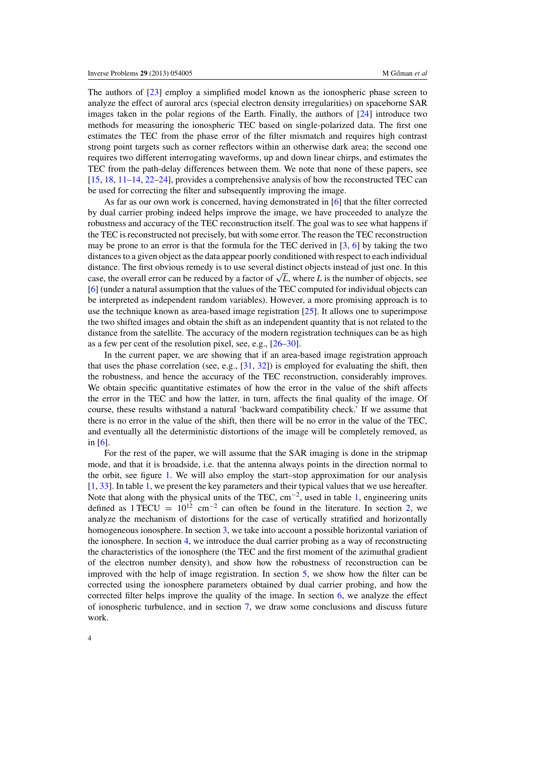The authors of [\[23\]](#page-33-0) employ a simplified model known as the ionospheric phase screen to analyze the effect of auroral arcs (special electron density irregularities) on spaceborne SAR images taken in the polar regions of the Earth. Finally, the authors of [\[24](#page-33-0)] introduce two methods for measuring the ionospheric TEC based on single-polarized data. The first one estimates the TEC from the phase error of the filter mismatch and requires high contrast strong point targets such as corner reflectors within an otherwise dark area; the second one requires two different interrogating waveforms, up and down linear chirps, and estimates the TEC from the path-delay differences between them. We note that none of these papers, see [\[15](#page-33-0), [18,](#page-33-0) [11–14,](#page-33-0) [22–24](#page-33-0)], provides a comprehensive analysis of how the reconstructed TEC can be used for correcting the filter and subsequently improving the image.

As far as our own work is concerned, having demonstrated in [\[6\]](#page-32-0) that the filter corrected by dual carrier probing indeed helps improve the image, we have proceeded to analyze the robustness and accuracy of the TEC reconstruction itself. The goal was to see what happens if the TEC is reconstructed not precisely, but with some error. The reason the TEC reconstruction may be prone to an error is that the formula for the TEC derived in  $[3, 6]$  $[3, 6]$  $[3, 6]$  by taking the two distances to a given object as the data appear poorly conditioned with respect to each individual distance. The first obvious remedy is to use several distinct objects instead of just one. In this case, the overall error can be reduced by a factor of  $\sqrt{L}$ , where *L* is the number of objects, see [\[6](#page-32-0)] (under a natural assumption that the values of the TEC computed for individual objects can be interpreted as independent random variables). However, a more promising approach is to use the technique known as area-based image registration [\[25\]](#page-33-0). It allows one to superimpose the two shifted images and obtain the shift as an independent quantity that is not related to the distance from the satellite. The accuracy of the modern registration techniques can be as high as a few per cent of the resolution pixel, see, e.g., [\[26–30\]](#page-33-0).

In the current paper, we are showing that if an area-based image registration approach that uses the phase correlation (see, e.g.,  $[31, 32]$  $[31, 32]$  $[31, 32]$  $[31, 32]$ ) is employed for evaluating the shift, then the robustness, and hence the accuracy of the TEC reconstruction, considerably improves. We obtain specific quantitative estimates of how the error in the value of the shift affects the error in the TEC and how the latter, in turn, affects the final quality of the image. Of course, these results withstand a natural 'backward compatibility check.' If we assume that there is no error in the value of the shift, then there will be no error in the value of the TEC, and eventually all the deterministic distortions of the image will be completely removed, as in [\[6](#page-32-0)].

For the rest of the paper, we will assume that the SAR imaging is done in the stripmap mode, and that it is broadside, i.e. that the antenna always points in the direction normal to the orbit, see figure [1.](#page-4-0) We will also employ the start–stop approximation for our analysis [\[1](#page-32-0), [33\]](#page-33-0). In table [1,](#page-4-0) we present the key parameters and their typical values that we use hereafter. Note that along with the physical units of the TEC, cm<sup>−</sup>2, used in table [1,](#page-4-0) engineering units defined as  $1 \text{TECU} = 10^{12} \text{ cm}^{-2}$  can often be found in the literature. In section [2,](#page-4-0) we analyze the mechanism of distortions for the case of vertically stratified and horizontally homogeneous ionosphere. In section [3,](#page-11-0) we take into account a possible horizontal variation of the ionosphere. In section [4,](#page-13-0) we introduce the dual carrier probing as a way of reconstructing the characteristics of the ionosphere (the TEC and the first moment of the azimuthal gradient of the electron number density), and show how the robustness of reconstruction can be improved with the help of image registration. In section [5,](#page-15-0) we show how the filter can be corrected using the ionosphere parameters obtained by dual carrier probing, and how the corrected filter helps improve the quality of the image. In section [6,](#page-19-0) we analyze the effect of ionospheric turbulence, and in section [7,](#page-24-0) we draw some conclusions and discuss future work.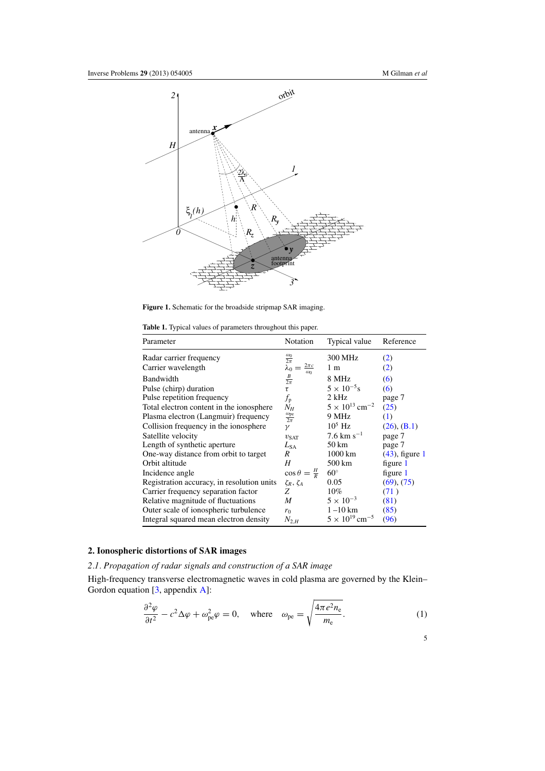<span id="page-4-0"></span>

Figure 1. Schematic for the broadside stripmap SAR imaging.

**Table 1.** Typical values of parameters throughout this paper.

| Parameter                                  | Notation                          | Typical value                       | Reference         |
|--------------------------------------------|-----------------------------------|-------------------------------------|-------------------|
| Radar carrier frequency                    | $\frac{\omega_0}{2\pi}$           | 300 MHz                             | (2)               |
| Carrier wavelength                         | $\frac{2\pi c}{\omega_0}$         | 1 <sub>m</sub>                      | (2)               |
| Bandwidth                                  | $rac{B}{2\pi}$                    | 8 MHz                               | (6)               |
| Pulse (chirp) duration                     | $\tau$                            | $5 \times 10^{-5}$ s                | (6)               |
| Pulse repetition frequency                 | $f_{\rm p}$                       | 2 kHz                               | page 7            |
| Total electron content in the ionosphere   | $N_H$                             | $5 \times 10^{13}$ cm <sup>-2</sup> | (25)              |
| Plasma electron (Langmuir) frequency       | $\frac{\omega_{\text{pe}}}{2\pi}$ | 9 MHz                               | (1)               |
| Collision frequency in the ionosphere      | $\gamma$                          | $10^5$ Hz                           | $(26)$ , $(B.1)$  |
| Satellite velocity                         | $v_{\text{SAT}}$                  | $7.6 \text{ km s}^{-1}$             | page 7            |
| Length of synthetic aperture               | $L_{SA}$                          | 50 km                               | page 7            |
| One-way distance from orbit to target      | R                                 | $1000 \mathrm{km}$                  | $(43)$ , figure 1 |
| Orbit altitude                             | H                                 | 500 km                              | figure 1          |
| Incidence angle                            | $\cos \theta = \frac{H}{R}$       | $60^\circ$                          | figure 1          |
| Registration accuracy, in resolution units | $\zeta_R, \zeta_A$                | 0.05                                | (69), (75)        |
| Carrier frequency separation factor        | Z                                 | $10\%$                              | (71)              |
| Relative magnitude of fluctuations         | M                                 | $5 \times 10^{-3}$                  | (81)              |
| Outer scale of ionospheric turbulence      | $r_0$                             | $1 - 10$ km                         | (85)              |
| Integral squared mean electron density     | $N_{2,H}$                         | $5 \times 10^{19}$ cm <sup>-5</sup> | (96)              |

# **2. Ionospheric distortions of SAR images**

*2.1. Propagation of radar signals and construction of a SAR image*

High-frequency transverse electromagnetic waves in cold plasma are governed by the Klein– Gordon equation [\[3,](#page-32-0) appendix [A\]](#page-25-0):

$$
\frac{\partial^2 \varphi}{\partial t^2} - c^2 \Delta \varphi + \omega_{\rm pe}^2 \varphi = 0, \quad \text{where} \quad \omega_{\rm pe} = \sqrt{\frac{4\pi e^2 n_{\rm e}}{m_{\rm e}}}.
$$
 (1)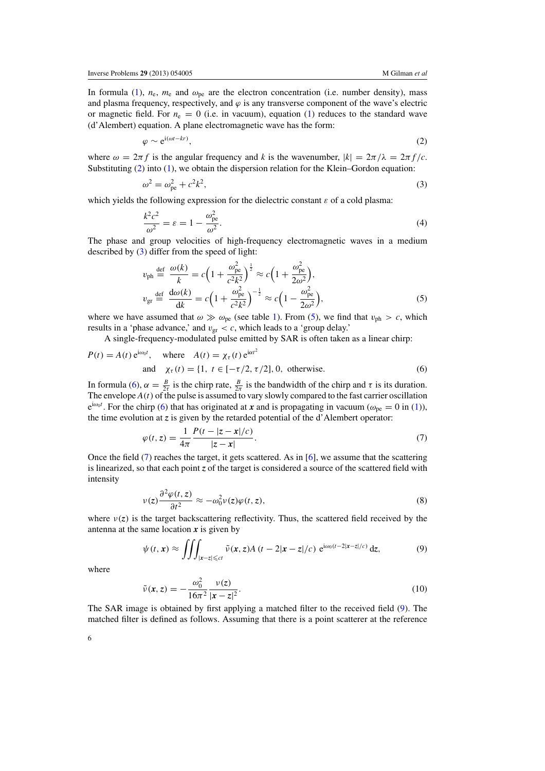<span id="page-5-0"></span>In formula [\(1\)](#page-4-0),  $n_e$ ,  $m_e$  and  $\omega_{pe}$  are the electron concentration (i.e. number density), mass and plasma frequency, respectively, and  $\varphi$  is any transverse component of the wave's electric or magnetic field. For  $n_e = 0$  (i.e. in vacuum), equation [\(1\)](#page-4-0) reduces to the standard wave (d'Alembert) equation. A plane electromagnetic wave has the form:

$$
\varphi \sim e^{i(\omega t - kr)},\tag{2}
$$

where  $\omega = 2\pi f$  is the angular frequency and *k* is the wavenumber,  $|k| = 2\pi/\lambda = 2\pi f/c$ . Substituting  $(2)$  into  $(1)$ , we obtain the dispersion relation for the Klein–Gordon equation:

$$
\omega^2 = \omega_{\rm pe}^2 + c^2 k^2,\tag{3}
$$

which yields the following expression for the dielectric constant  $\varepsilon$  of a cold plasma:

$$
\frac{k^2c^2}{\omega^2} = \varepsilon = 1 - \frac{\omega_{\text{pe}}^2}{\omega^2}.
$$
\n(4)

The phase and group velocities of high-frequency electromagnetic waves in a medium described by (3) differ from the speed of light:

$$
v_{\rm ph} \stackrel{\text{def}}{=} \frac{\omega(k)}{k} = c \Big( 1 + \frac{\omega_{\rm pe}^2}{c^2 k^2} \Big)^{\frac{1}{2}} \approx c \Big( 1 + \frac{\omega_{\rm pe}^2}{2\omega^2} \Big),
$$
  

$$
v_{\rm gr} \stackrel{\text{def}}{=} \frac{d\omega(k)}{dk} = c \Big( 1 + \frac{\omega_{\rm pe}^2}{c^2 k^2} \Big)^{-\frac{1}{2}} \approx c \Big( 1 - \frac{\omega_{\rm pe}^2}{2\omega^2} \Big),
$$
 (5)

where we have assumed that  $\omega \gg \omega_{pe}$  (see table [1\)](#page-4-0). From (5), we find that  $v_{ph} > c$ , which results in a 'phase advance,' and  $v_{\text{gr}} < c$ , which leads to a 'group delay.'

A single-frequency-modulated pulse emitted by SAR is often taken as a linear chirp:

$$
P(t) = A(t) e^{i\omega_0 t}, \quad \text{where} \quad A(t) = \chi_\tau(t) e^{i\alpha t^2}
$$
  
and 
$$
\chi_\tau(t) = \{1, \ t \in [-\tau/2, \tau/2], 0, \ \text{otherwise.}
$$
 (6)

In formula (6),  $\alpha = \frac{B}{2\tau}$  is the chirp rate,  $\frac{B}{2\pi}$  is the bandwidth of the chirp and  $\tau$  is its duration. The envelope  $A(t)$  of the pulse is assumed to vary slowly compared to the fast carrier oscillation  $e^{i\omega_0 t}$ . For the chirp (6) that has originated at *x* and is propagating in vacuum ( $\omega_{pe} = 0$  in [\(1\)](#page-4-0)), the time evolution at *z* is given by the retarded potential of the d'Alembert operator:

$$
\varphi(t, z) = \frac{1}{4\pi} \frac{P(t - |z - x|/c)}{|z - x|}.
$$
\n(7)

Once the field (7) reaches the target, it gets scattered. As in [\[6\]](#page-32-0), we assume that the scattering is linearized, so that each point *z* of the target is considered a source of the scattered field with intensity

$$
\nu(z)\frac{\partial^2 \varphi(t,z)}{\partial t^2} \approx -\omega_0^2 \nu(z)\varphi(t,z),\tag{8}
$$

where  $v(z)$  is the target backscattering reflectivity. Thus, the scattered field received by the antenna at the same location  $x$  is given by

$$
\psi(t,\mathbf{x}) \approx \iiint_{|\mathbf{x}-z| \leqslant ct} \tilde{\nu}(\mathbf{x},z) A(t-2|\mathbf{x}-z|/c) e^{i\omega_0(t-2|\mathbf{x}-z|/c)} dz,
$$
\n(9)

where

$$
\tilde{\nu}(x,z) = -\frac{\omega_0^2}{16\pi^2} \frac{\nu(z)}{|x-z|^2}.
$$
\n(10)

The SAR image is obtained by first applying a matched filter to the received field (9). The matched filter is defined as follows. Assuming that there is a point scatterer at the reference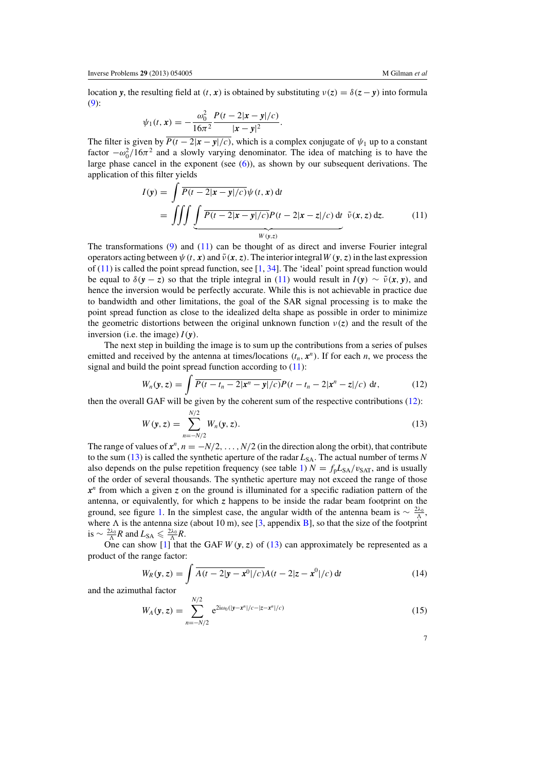<span id="page-6-0"></span>location *y*, the resulting field at  $(t, x)$  is obtained by substituting  $v(z) = \delta(z - y)$  into formula [\(9\)](#page-5-0):

$$
\psi_1(t, x) = -\frac{\omega_0^2}{16\pi^2} \frac{P(t - 2|x - y|/c)}{|x - y|^2}.
$$

The filter is given by  $\overline{P(t-2|x-y|/c)}$ , which is a complex conjugate of  $\psi_1$  up to a constant factor  $-\omega_0^2/16\pi^2$  and a slowly varying denominator. The idea of matching is to have the large phase cancel in the exponent (see [\(6\)](#page-5-0)), as shown by our subsequent derivations. The application of this filter yields

$$
I(\mathbf{y}) = \int \overline{P(t - 2|\mathbf{x} - \mathbf{y}|/c)} \psi(t, \mathbf{x}) dt
$$
  
= 
$$
\iiint \underbrace{\int \overline{P(t - 2|\mathbf{x} - \mathbf{y}|/c)} P(t - 2|\mathbf{x} - \mathbf{z}|/c) dt}_{W(\mathbf{y}, z)}
$$
 (11)

The transformations [\(9\)](#page-5-0) and (11) can be thought of as direct and inverse Fourier integral operators acting between  $\psi(t, x)$  and  $\tilde{\nu}(x, z)$ . The interior integral  $W(y, z)$  in the last expression of  $(11)$  is called the point spread function, see [\[1,](#page-32-0) [34](#page-33-0)]. The 'ideal' point spread function would be equal to  $\delta(y - z)$  so that the triple integral in (11) would result in  $I(y) \sim \tilde{v}(x, y)$ , and hence the inversion would be perfectly accurate. While this is not achievable in practice due to bandwidth and other limitations, the goal of the SAR signal processing is to make the point spread function as close to the idealized delta shape as possible in order to minimize the geometric distortions between the original unknown function  $v(z)$  and the result of the inversion (i.e. the image)  $I(\mathbf{v})$ .

The next step in building the image is to sum up the contributions from a series of pulses emitted and received by the antenna at times/locations  $(t_n, x^n)$ . If for each *n*, we process the signal and build the point spread function according to  $(11)$ :

$$
W_n(\mathbf{y}, z) = \int \overline{P(t - t_n - 2|\mathbf{x}^n - \mathbf{y}|/c)} P(t - t_n - 2|\mathbf{x}^n - z|/c) dt,
$$
 (12)

then the overall GAF will be given by the coherent sum of the respective contributions (12):

$$
W(\mathbf{y}, z) = \sum_{n=-N/2}^{N/2} W_n(\mathbf{y}, z). \tag{13}
$$

The range of values of  $x^n$ ,  $n = -N/2$ , ...,  $N/2$  (in the direction along the orbit), that contribute to the sum (13) is called the synthetic aperture of the radar  $L_{SA}$ . The actual number of terms *N* also depends on the pulse repetition frequency (see table [1\)](#page-4-0)  $N = f<sub>p</sub>L<sub>SA</sub>/v<sub>SAT</sub>$ , and is usually of the order of several thousands. The synthetic aperture may not exceed the range of those  $x^n$  from which a given *z* on the ground is illuminated for a specific radiation pattern of the antenna, or equivalently, for which  $z$  happens to be inside the radar beam footprint on the ground, see figure [1.](#page-4-0) In the simplest case, the angular width of the antenna beam is  $\sim \frac{2\lambda_0}{\Lambda}$ , where  $\Lambda$  is the antenna size (about 10 m), see [\[3](#page-32-0), appendix [B\]](#page-27-0), so that the size of the footprint is  $\sim \frac{2\lambda_0}{\Lambda} R$  and  $L_{SA} \leqslant \frac{2\lambda_0}{\Lambda} R$ .

One can show  $\boxed{1}$  that the GAF  $W(y, z)$  of  $\boxed{13}$  can approximately be represented as a product of the range factor:

$$
W_R(\mathbf{y}, z) = \int \overline{A(t - 2|\mathbf{y} - \mathbf{x}^0|/c)} A(t - 2|z - \mathbf{x}^0|/c) dt
$$
 (14)

and the azimuthal factor

$$
W_A(\mathbf{y}, z) = \sum_{n=-N/2}^{N/2} e^{2i\omega_0(|\mathbf{y}-\mathbf{x}^n|/c - |z-\mathbf{x}^n|/c)}
$$
(15)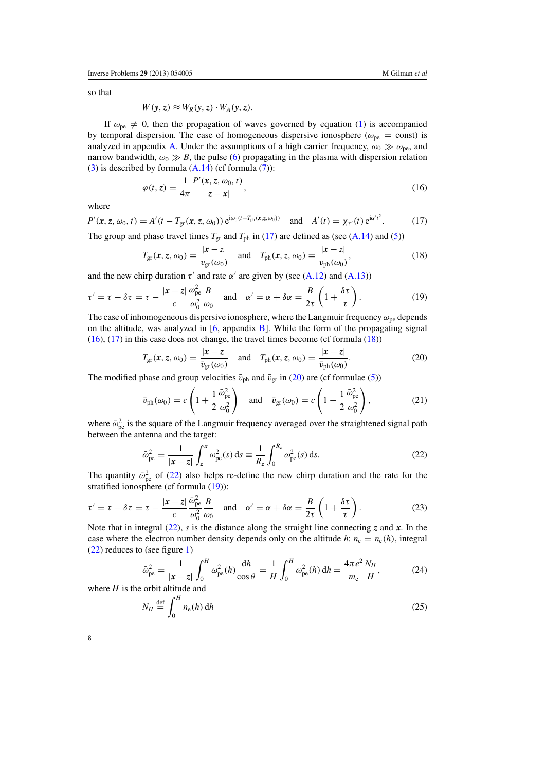<span id="page-7-0"></span>so that

$$
W(y, z) \approx W_R(y, z) \cdot W_A(y, z).
$$

If  $\omega_{\rm pe} \neq 0$ , then the propagation of waves governed by equation [\(1\)](#page-4-0) is accompanied by temporal dispersion. The case of homogeneous dispersive ionosphere ( $\omega_{pe}$  = const) is analyzed in appendix [A.](#page-25-0) Under the assumptions of a high carrier frequency,  $\omega_0 \gg \omega_{\text{pe}}$ , and narrow bandwidth,  $\omega_0 \gg B$ , the pulse [\(6\)](#page-5-0) propagating in the plasma with dispersion relation [\(3\)](#page-5-0) is described by formula  $(A.14)$  (cf formula [\(7\)](#page-5-0)):

$$
\varphi(t,z) = \frac{1}{4\pi} \frac{P'(x,z,\omega_0,t)}{|z-x|},\tag{16}
$$

where

 $P'(\mathbf{x}, z, \omega_0, t) = A'(t - T_{\text{gr}}(\mathbf{x}, z, \omega_0)) e^{i\omega_0(t - T_{\text{ph}}(\mathbf{x}, z, \omega_0))}$  and  $A'(t) = \chi_{\tau'}(t) e^{i\alpha' t^2}$  $(17)$ 

The group and phase travel times  $T_{\rm gr}$  and  $T_{\rm ph}$  in (17) are defined as (see [\(A.14\)](#page-27-0) and [\(5\)](#page-5-0))

$$
T_{\rm gr}(x, z, \omega_0) = \frac{|x - z|}{v_{\rm gr}(\omega_0)} \quad \text{and} \quad T_{\rm ph}(x, z, \omega_0) = \frac{|x - z|}{v_{\rm ph}(\omega_0)},\tag{18}
$$

and the new chirp duration  $\tau'$  and rate  $\alpha'$  are given by (see [\(A.12\)](#page-27-0) and [\(A.13\)](#page-27-0))

$$
\tau' = \tau - \delta \tau = \tau - \frac{|\mathbf{x} - \mathbf{z}|}{c} \frac{\omega_{\text{pe}}^2}{\omega_0^2} \frac{B}{\omega_0} \quad \text{and} \quad \alpha' = \alpha + \delta \alpha = \frac{B}{2\tau} \left( 1 + \frac{\delta \tau}{\tau} \right). \tag{19}
$$

The case of inhomogeneous dispersive ionosphere, where the Langmuir frequency  $\omega_{pe}$  depends on the altitude, was analyzed in  $[6,$  $[6,$  appendix  $B$ ]. While the form of the propagating signal (16), (17) in this case does not change, the travel times become (cf formula (18))

$$
T_{\rm gr}(\mathbf{x}, z, \omega_0) = \frac{|\mathbf{x} - z|}{\bar{v}_{\rm gr}(\omega_0)} \quad \text{and} \quad T_{\rm ph}(\mathbf{x}, z, \omega_0) = \frac{|\mathbf{x} - z|}{\bar{v}_{\rm ph}(\omega_0)}.
$$
 (20)

The modified phase and group velocities  $\bar{v}_{\text{ph}}$  and  $\bar{v}_{\text{gr}}$  in (20) are (cf formulae [\(5\)](#page-5-0))

$$
\bar{v}_{\text{ph}}(\omega_0) = c \left( 1 + \frac{1}{2} \frac{\bar{\omega}_{\text{pe}}^2}{\omega_0^2} \right) \quad \text{and} \quad \bar{v}_{\text{gr}}(\omega_0) = c \left( 1 - \frac{1}{2} \frac{\bar{\omega}_{\text{pe}}^2}{\omega_0^2} \right),\tag{21}
$$

where  $\bar{\omega}_{pe}^2$  is the square of the Langmuir frequency averaged over the straightened signal path between the antenna and the target:

$$
\bar{\omega}_{\rm pe}^2 = \frac{1}{|\mathbf{x} - z|} \int_z^x \omega_{\rm pe}^2(s) \, \mathrm{d}s \equiv \frac{1}{R_z} \int_0^{R_z} \omega_{\rm pe}^2(s) \, \mathrm{d}s. \tag{22}
$$

The quantity  $\bar{\omega}_{pe}^2$  of (22) also helps re-define the new chirp duration and the rate for the stratified ionosphere (cf formula (19)):

$$
\tau' = \tau - \delta \tau = \tau - \frac{|\mathbf{x} - \mathbf{z}|}{c} \frac{\bar{\omega}_{\text{pe}}^2}{\omega_0^2} \frac{B}{\omega_0} \quad \text{and} \quad \alpha' = \alpha + \delta \alpha = \frac{B}{2\tau} \left( 1 + \frac{\delta \tau}{\tau} \right). \tag{23}
$$

Note that in integral (22), *s* is the distance along the straight line connecting *z* and *x*. In the case where the electron number density depends only on the altitude *h*:  $n_e = n_e(h)$ , integral (22) reduces to (see figure [1\)](#page-4-0)

$$
\bar{\omega}_{\rm pe}^2 = \frac{1}{|\mathbf{x} - \mathbf{z}|} \int_0^H \omega_{\rm pe}^2(h) \frac{\mathrm{d}h}{\cos \theta} = \frac{1}{H} \int_0^H \omega_{\rm pe}^2(h) \, \mathrm{d}h = \frac{4\pi e^2}{m_{\rm e}} \frac{N_H}{H},\tag{24}
$$

where *H* is the orbit altitude and

$$
N_H \stackrel{\text{def}}{=} \int_0^H n_e(h) \, \mathrm{d}h \tag{25}
$$

| ۰,<br>I |  |   |  |
|---------|--|---|--|
|         |  |   |  |
|         |  |   |  |
|         |  | ۹ |  |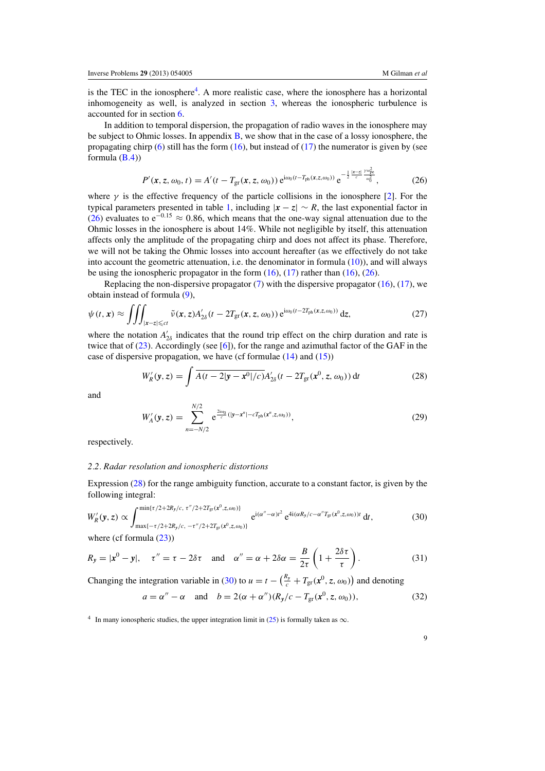<span id="page-8-0"></span>is the TEC in the ionosphere<sup>4</sup>. A more realistic case, where the ionosphere has a horizontal inhomogeneity as well, is analyzed in section [3,](#page-11-0) whereas the ionospheric turbulence is accounted for in section [6.](#page-19-0)

In addition to temporal dispersion, the propagation of radio waves in the ionosphere may be subject to Ohmic losses. In appendix  $B$ , we show that in the case of a lossy ionosphere, the propagating chirp  $(6)$  still has the form  $(16)$ , but instead of  $(17)$  the numerator is given by (see formula  $(B.4)$ 

$$
P'(\mathbf{x}, z, \omega_0, t) = A'(t - T_{\text{gr}}(\mathbf{x}, z, \omega_0)) e^{i\omega_0(t - T_{\text{ph}}(\mathbf{x}, z, \omega_0))} e^{-\frac{1}{2} \frac{|\mathbf{x} - z|}{c} \frac{\gamma \omega_{\text{pe}}^2}{\omega_0^2}},
$$
(26)

where  $\gamma$  is the effective frequency of the particle collisions in the ionosphere [\[2\]](#page-32-0). For the typical parameters presented in table [1,](#page-4-0) including  $|x - z| \sim R$ , the last exponential factor in (26) evaluates to  $e^{-0.15} \approx 0.86$ , which means that the one-way signal attenuation due to the Ohmic losses in the ionosphere is about 14%. While not negligible by itself, this attenuation affects only the amplitude of the propagating chirp and does not affect its phase. Therefore, we will not be taking the Ohmic losses into account hereafter (as we effectively do not take into account the geometric attenuation, i.e. the denominator in formula  $(10)$ ), and will always be using the ionospheric propagator in the form  $(16)$ ,  $(17)$  rather than  $(16)$ ,  $(26)$ .

Replacing the non-dispersive propagator  $(7)$  with the dispersive propagator  $(16)$ ,  $(17)$ , we obtain instead of formula [\(9\)](#page-5-0),

$$
\psi(t,\mathbf{x}) \approx \iiint_{|\mathbf{x}-z| \leqslant ct} \tilde{\nu}(\mathbf{x},z) A'_{2\delta}(t - 2T_{\rm gr}(\mathbf{x},z,\omega_0)) e^{i\omega_0(t - 2T_{\rm ph}(\mathbf{x},z,\omega_0))} dz,
$$
\n(27)

where the notation  $A'_{2\delta}$  indicates that the round trip effect on the chirp duration and rate is twice that of [\(23\)](#page-7-0). Accordingly (see [\[6](#page-32-0)]), for the range and azimuthal factor of the GAF in the case of dispersive propagation, we have (cf formulae [\(14\)](#page-6-0) and [\(15\)](#page-6-0))

$$
W'_{R}(\mathbf{y}, z) = \int \overline{A(t - 2|\mathbf{y} - \mathbf{x}^{0}|/c)} A'_{2\delta}(t - 2T_{\rm gr}(\mathbf{x}^{0}, z, \omega_{0})) dt
$$
 (28)

and

$$
W'_{A}(\mathbf{y}, z) = \sum_{n=-N/2}^{N/2} e^{\frac{2i\omega_0}{c}(|\mathbf{y}-\mathbf{x}^n| - cT_{\text{ph}}(\mathbf{x}^n, z, \omega_0))},
$$
(29)

respectively.

# *2.2. Radar resolution and ionospheric distortions*

Expression (28) for the range ambiguity function, accurate to a constant factor, is given by the following integral:

$$
W'_{R}(\mathbf{y}, z) \propto \int_{\max\{-\tau/2 + 2R_{\mathbf{y}}/c, \ \tau''/2 + 2T_{\text{gr}}(\mathbf{x}^0, z, \omega_0)\}}^{\min\{\tau/2 + 2R_{\mathbf{y}}/c, \ \tau''/2 + 2T_{\text{gr}}(\mathbf{x}^0, z, \omega_0)\}} e^{i(\alpha'' - \alpha)t^2} e^{4i(\alpha R_{\mathbf{y}}/c - \alpha''T_{\text{gr}}(\mathbf{x}^0, z, \omega_0))t} dt,
$$
(30)

where (cf formula  $(23)$ )

$$
R_y = |\mathbf{x}^0 - \mathbf{y}|
$$
,  $\tau'' = \tau - 2\delta\tau$  and  $\alpha'' = \alpha + 2\delta\alpha = \frac{B}{2\tau} \left( 1 + \frac{2\delta\tau}{\tau} \right)$ . (31)

Changing the integration variable in (30) to  $u = t - (\frac{R_y}{c} + T_{gr}(x^0, z, \omega_0))$  and denoting

$$
a = \alpha'' - \alpha \quad \text{and} \quad b = 2(\alpha + \alpha'')(R_y/c - T_{\text{gr}}(x^0, z, \omega_0)),\tag{32}
$$

<sup>&</sup>lt;sup>4</sup> In many ionospheric studies, the upper integration limit in [\(25\)](#page-7-0) is formally taken as  $\infty$ .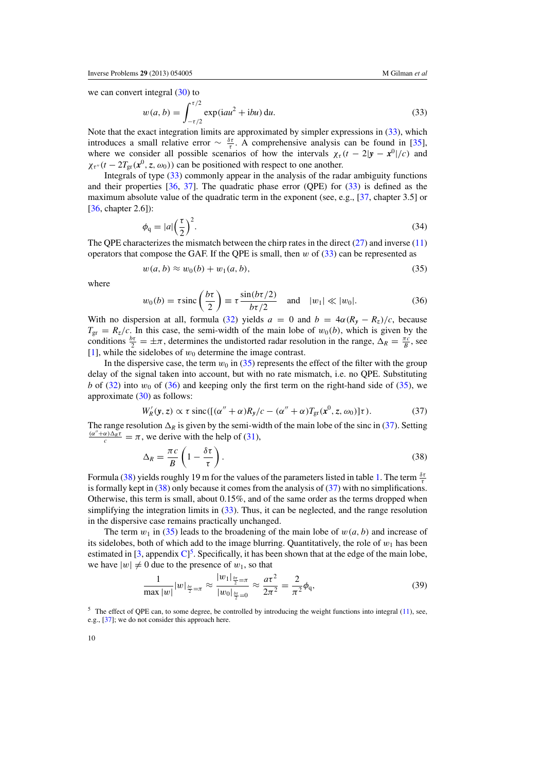<span id="page-9-0"></span>we can convert integral  $(30)$  to

$$
w(a, b) = \int_{-\tau/2}^{\tau/2} \exp(iau^2 + ibu) \, du.
$$
 (33)

Note that the exact integration limits are approximated by simpler expressions in (33), which introduces a small relative error  $\sim \frac{\delta \tau}{\tau}$ . A comprehensive analysis can be found in [\[35\]](#page-33-0), where we consider all possible scenarios of how the intervals  $\chi_{\tau}$  (*t* − 2|*y* − *x*<sup>0</sup>|/*c*) and  $\chi_{\tau''}(t - 2T_{\rm gr}(\mathbf{x}^0, z, \omega_0))$  can be positioned with respect to one another.

Integrals of type (33) commonly appear in the analysis of the radar ambiguity functions and their properties [\[36](#page-33-0), [37\]](#page-33-0). The quadratic phase error (QPE) for (33) is defined as the maximum absolute value of the quadratic term in the exponent (see, e.g., [\[37,](#page-33-0) chapter 3.5] or [\[36](#page-33-0), chapter 2.6]):

$$
\phi_{\mathbf{q}} = |a| \left(\frac{\tau}{2}\right)^2. \tag{34}
$$

The QPE characterizes the mismatch between the chirp rates in the direct  $(27)$  and inverse  $(11)$ operators that compose the GAF. If the QPE is small, then  $w$  of  $(33)$  can be represented as

$$
w(a,b) \approx w_0(b) + w_1(a,b),\tag{35}
$$

where

$$
w_0(b) = \tau \operatorname{sinc}\left(\frac{b\tau}{2}\right) \equiv \tau \frac{\sin(b\tau/2)}{b\tau/2} \quad \text{and} \quad |w_1| \ll |w_0|.
$$
 (36)

With no dispersion at all, formula [\(32\)](#page-8-0) yields  $a = 0$  and  $b = 4\alpha (R_y - R_z)/c$ , because  $T_{\rm gr} = R_z/c$ . In this case, the semi-width of the main lobe of  $w_0(b)$ , which is given by the conditions  $\frac{b\tau}{2} = \pm \pi$ , determines the undistorted radar resolution in the range,  $\Delta_R = \frac{\pi c}{B}$ , see [\[1](#page-32-0)], while the sidelobes of  $w_0$  determine the image contrast.

In the dispersive case, the term  $w_0$  in (35) represents the effect of the filter with the group delay of the signal taken into account, but with no rate mismatch, i.e. no QPE. Substituting *b* of [\(32\)](#page-8-0) into  $w_0$  of (36) and keeping only the first term on the right-hand side of (35), we approximate [\(30\)](#page-8-0) as follows:

$$
W'_{R}(y, z) \propto \tau \operatorname{sinc}([\alpha'' + \alpha)R_{y}/c - (\alpha'' + \alpha)T_{\text{gr}}(x^{0}, z, \omega_{0})]\tau). \tag{37}
$$

The range resolution  $\Delta_R$  is given by the semi-width of the main lobe of the sinc in (37). Setting  $\frac{(\alpha'' + \alpha)\Delta_R \tau}{c} = \pi$ , we derive with the help of [\(31\)](#page-8-0),

$$
\Delta_R = \frac{\pi c}{B} \left( 1 - \frac{\delta \tau}{\tau} \right). \tag{38}
$$

Formula (38) yields roughly 19 m for the values of the parameters listed in table [1.](#page-4-0) The term  $\frac{\delta\tau}{\tau}$ is formally kept in (38) only because it comes from the analysis of (37) with no simplifications. Otherwise, this term is small, about 0.15%, and of the same order as the terms dropped when simplifying the integration limits in (33). Thus, it can be neglected, and the range resolution in the dispersive case remains practically unchanged.

The term  $w_1$  in (35) leads to the broadening of the main lobe of  $w(a, b)$  and increase of its sidelobes, both of which add to the image blurring. Quantitatively, the role of  $w_1$  has been estimated in  $[3,$  $[3,$  appendix  $C]^5$  $C]^5$ . Specifically, it has been shown that at the edge of the main lobe, we have  $|w| \neq 0$  due to the presence of  $w_1$ , so that

$$
\frac{1}{\max |w|} |w|_{\frac{b\pi}{2} = \pi} \approx \frac{|w_1|_{\frac{b\pi}{2} = \pi}}{|w_0|_{\frac{b\pi}{2} = 0}} \approx \frac{a\tau^2}{2\pi^2} = \frac{2}{\pi^2} \phi_q,
$$
\n(39)

 $5$  The effect of QPE can, to some degree, be controlled by introducing the weight functions into integral [\(11\)](#page-6-0), see, e.g., [\[37](#page-33-0)]; we do not consider this approach here.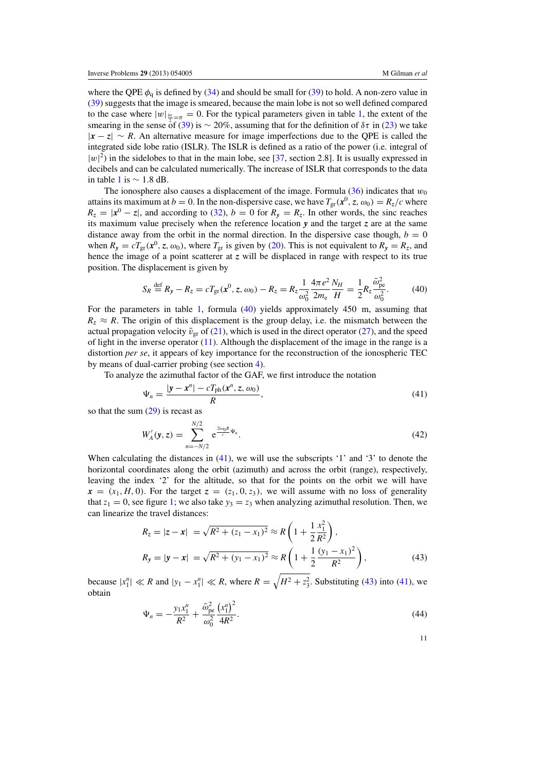<span id="page-10-0"></span>where the QPE  $\phi_q$  is defined by [\(34\)](#page-9-0) and should be small for [\(39\)](#page-9-0) to hold. A non-zero value in [\(39\)](#page-9-0) suggests that the image is smeared, because the main lobe is not so well defined compared to the case where  $|w|_{\frac{b\tau}{2}} = \pi = 0$ . For the typical parameters given in table [1,](#page-4-0) the extent of the smearing in the sense of [\(39\)](#page-9-0) is  $\sim$  20%, assuming that for the definition of  $\delta\tau$  in [\(23\)](#page-7-0) we take |*x* − *z*| ∼ *R*. An alternative measure for image imperfections due to the QPE is called the integrated side lobe ratio (ISLR). The ISLR is defined as a ratio of the power (i.e. integral of  $|w|^2$ ) in the sidelobes to that in the main lobe, see [\[37,](#page-33-0) section 2.8]. It is usually expressed in decibels and can be calculated numerically. The increase of ISLR that corresponds to the data in table [1](#page-4-0) is ∼ 1.8 dB.

The ionosphere also causes a displacement of the image. Formula  $(36)$  indicates that  $w_0$ attains its maximum at  $b = 0$ . In the non-dispersive case, we have  $T_{\text{gr}}(\mathbf{x}^0, z, \omega_0) = R_z/c$  where  $R_z = |x^0 - z|$ , and according to [\(32\)](#page-8-0),  $b = 0$  for  $R_y = R_z$ . In other words, the sinc reaches its maximum value precisely when the reference location *y* and the target *z* are at the same distance away from the orbit in the normal direction. In the dispersive case though,  $b = 0$ when  $R_y = cT_{\text{gr}}(x^0, z, \omega_0)$ , where  $T_{\text{gr}}$  is given by [\(20\)](#page-7-0). This is not equivalent to  $R_y = R_z$ , and hence the image of a point scatterer at  $z$  will be displaced in range with respect to its true position. The displacement is given by

$$
S_R \stackrel{\text{def}}{=} R_y - R_z = cT_{\text{gr}}(\mathbf{x}^0, z, \omega_0) - R_z = R_z \frac{1}{\omega_0^2} \frac{4\pi e^2}{2m_e} \frac{N_H}{H} = \frac{1}{2} R_z \frac{\bar{\omega}_{\text{pe}}^2}{\omega_0^2}.
$$
 (40)

For the parameters in table [1,](#page-4-0) formula (40) yields approximately 450 m, assuming that  $R_z \approx R$ . The origin of this displacement is the group delay, i.e. the mismatch between the actual propagation velocity  $\bar{v}_{gr}$  of [\(21\)](#page-7-0), which is used in the direct operator [\(27\)](#page-8-0), and the speed of light in the inverse operator  $(11)$ . Although the displacement of the image in the range is a distortion *per se*, it appears of key importance for the reconstruction of the ionospheric TEC by means of dual-carrier probing (see section [4\)](#page-13-0).

To analyze the azimuthal factor of the GAF, we first introduce the notation

$$
\Psi_n = \frac{|y - x^n| - cT_{\text{ph}}(x^n, z, \omega_0)}{R},\tag{41}
$$

so that the sum [\(29\)](#page-8-0) is recast as

$$
W'_{A}(\mathbf{y}, z) = \sum_{n=-N/2}^{N/2} e^{\frac{2i\omega_{0}R}{c}\Psi_{n}}.
$$
 (42)

When calculating the distances in (41), we will use the subscripts '1' and '3' to denote the horizontal coordinates along the orbit (azimuth) and across the orbit (range), respectively, leaving the index '2' for the altitude, so that for the points on the orbit we will have  $x = (x_1, H, 0)$ . For the target  $z = (z_1, 0, z_3)$ , we will assume with no loss of generality that  $z_1 = 0$ , see figure [1;](#page-4-0) we also take  $y_3 = z_3$  when analyzing azimuthal resolution. Then, we can linearize the travel distances:

$$
R_z = |z - x| = \sqrt{R^2 + (z_1 - x_1)^2} \approx R \left( 1 + \frac{1}{2} \frac{x_1^2}{R^2} \right),
$$
  
\n
$$
R_y = |y - x| = \sqrt{R^2 + (y_1 - x_1)^2} \approx R \left( 1 + \frac{1}{2} \frac{(y_1 - x_1)^2}{R^2} \right),
$$
\n(43)

because  $|x_1^n| \ll R$  and  $|y_1 - x_1^n| \ll R$ , where  $R = \sqrt{H^2 + z_3^2}$ . Substituting (43) into (41), we obtain

$$
\Psi_n = -\frac{y_1 x_1^n}{R^2} + \frac{\bar{\omega}_{pe}^2}{\omega_0^2} \frac{(x_1^n)^2}{4R^2}.
$$
\n(44)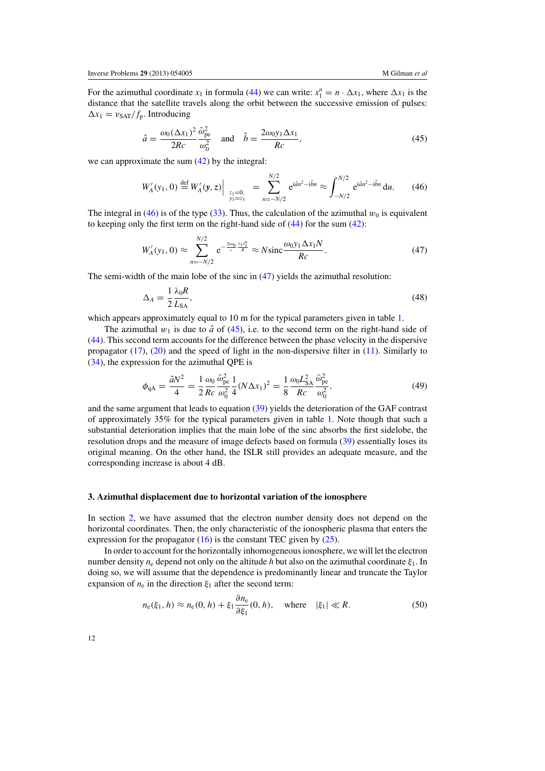<span id="page-11-0"></span>For the azimuthal coordinate  $x_1$  in formula [\(44\)](#page-10-0) we can write:  $x_1^n = n \cdot \Delta x_1$ , where  $\Delta x_1$  is the distance that the satellite travels along the orbit between the successive emission of pulses:  $\Delta x_1 = v_{\text{SAT}}/f_p$ . Introducing

$$
\hat{a} = \frac{\omega_0 (\Delta x_1)^2}{2Rc} \frac{\bar{\omega}_{pe}^2}{\omega_0^2} \quad \text{and} \quad \hat{b} = \frac{2\omega_0 y_1 \Delta x_1}{Rc},\tag{45}
$$

we can approximate the sum [\(42\)](#page-10-0) by the integral:

$$
W'_{A}(y_1, 0) \stackrel{\text{def}}{=} W'_{A}(y, z) \Big|_{\substack{z_1 = 0, \\ y_3 = z_3}} = \sum_{n = -N/2}^{N/2} e^{i\hat{a}n^2 - i\hat{b}n} \approx \int_{-N/2}^{N/2} e^{i\hat{a}n^2 - i\hat{b}n} du. \tag{46}
$$

The integral in (46) is of the type [\(33\)](#page-9-0). Thus, the calculation of the azimuthal  $w_0$  is equivalent to keeping only the first term on the right-hand side of [\(44\)](#page-10-0) for the sum [\(42\)](#page-10-0):

$$
W'_{A}(y_1, 0) \approx \sum_{n=-N/2}^{N/2} e^{-\frac{2i\omega_0}{c}\frac{y_1x_1^n}{R}} \approx N \text{sinc}\frac{\omega_0 y_1 \Delta x_1 N}{Rc}.
$$
 (47)

The semi-width of the main lobe of the sinc in (47) yields the azimuthal resolution:

$$
\Delta_A = \frac{1}{2} \frac{\lambda_0 R}{L_{SA}},\tag{48}
$$

which appears approximately equal to 10 m for the typical parameters given in table [1.](#page-4-0)

The azimuthal  $w_1$  is due to  $\hat{a}$  of (45), i.e. to the second term on the right-hand side of [\(44\)](#page-10-0). This second term accounts for the difference between the phase velocity in the dispersive propagator  $(17)$ ,  $(20)$  and the speed of light in the non-dispersive filter in  $(11)$ . Similarly to [\(34\)](#page-9-0), the expression for the azimuthal QPE is

$$
\phi_{\rm qA} = \frac{\hat{a}N^2}{4} = \frac{1}{2}\frac{\omega_0}{Rc}\frac{\bar{\omega}_{\rm pe}^2}{\omega_0^2}\frac{1}{4}(N\Delta x_1)^2 = \frac{1}{8}\frac{\omega_0 L_{\rm SA}^2}{Rc}\frac{\bar{\omega}_{\rm pe}^2}{\omega_0^2},\tag{49}
$$

and the same argument that leads to equation [\(39\)](#page-9-0) yields the deterioration of the GAF contrast of approximately 35% for the typical parameters given in table [1.](#page-4-0) Note though that such a substantial deterioration implies that the main lobe of the sinc absorbs the first sidelobe, the resolution drops and the measure of image defects based on formula [\(39\)](#page-9-0) essentially loses its original meaning. On the other hand, the ISLR still provides an adequate measure, and the corresponding increase is about 4 dB.

#### **3. Azimuthal displacement due to horizontal variation of the ionosphere**

In section [2,](#page-4-0) we have assumed that the electron number density does not depend on the horizontal coordinates. Then, the only characteristic of the ionospheric plasma that enters the expression for the propagator  $(16)$  is the constant TEC given by  $(25)$ .

In order to account for the horizontally inhomogeneous ionosphere, we will let the electron number density  $n_e$  depend not only on the altitude *h* but also on the azimuthal coordinate  $\xi_1$ . In doing so, we will assume that the dependence is predominantly linear and truncate the Taylor expansion of  $n_e$  in the direction  $\xi_1$  after the second term:

$$
n_{e}(\xi_{1}, h) \approx n_{e}(0, h) + \xi_{1} \frac{\partial n_{e}}{\partial \xi_{1}}(0, h), \quad \text{where} \quad |\xi_{1}| \ll R. \tag{50}
$$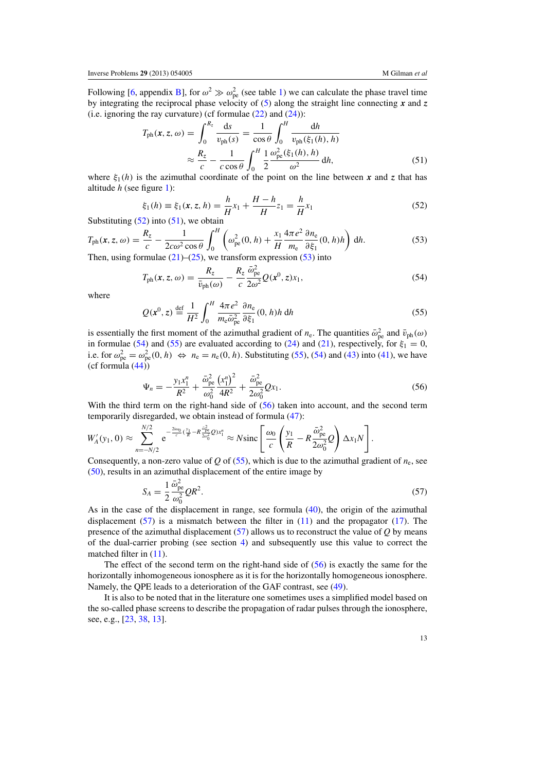<span id="page-12-0"></span>Following [\[6](#page-32-0), appendix [B\]](#page-27-0), for  $\omega^2 \gg \omega_{\text{pe}}^2$  (see table [1\)](#page-4-0) we can calculate the phase travel time by integrating the reciprocal phase velocity of [\(5\)](#page-5-0) along the straight line connecting *x* and *z* (i.e. ignoring the ray curvature) (cf formulae  $(22)$  and  $(24)$ ):

$$
T_{\rm ph}(x, z, \omega) = \int_0^{R_z} \frac{ds}{v_{\rm ph}(s)} = \frac{1}{\cos \theta} \int_0^H \frac{dh}{v_{\rm ph}(\xi_1(h), h)}
$$

$$
\approx \frac{R_z}{c} - \frac{1}{c \cos \theta} \int_0^H \frac{1}{2} \frac{\omega_{\rm pe}^2(\xi_1(h), h)}{\omega^2} dh,
$$
(51)

where  $\xi_1(h)$  is the azimuthal coordinate of the point on the line between *x* and *z* that has altitude *h* (see figure [1\)](#page-4-0):

$$
\xi_1(h) \equiv \xi_1(x, z, h) = \frac{h}{H}x_1 + \frac{H - h}{H}z_1 = \frac{h}{H}x_1 \tag{52}
$$

Substituting  $(52)$  into  $(51)$ , we obtain

$$
T_{\rm ph}(x, z, \omega) = \frac{R_z}{c} - \frac{1}{2c\omega^2 \cos \theta} \int_0^H \left( \omega_{\rm pe}^2(0, h) + \frac{x_1}{H} \frac{4\pi e^2}{m_{\rm e}} \frac{\partial n_{\rm e}}{\partial \xi_1}(0, h) h \right) dh.
$$
 (53)

Then, using formulae  $(21)$ – $(25)$ , we transform expression (53) into  $m = 2$ 

$$
T_{\rm ph}(x, z, \omega) = \frac{R_z}{\bar{v}_{\rm ph}(\omega)} - \frac{R_z}{c} \frac{\bar{\omega}_{\rm pe}^2}{2\omega^2} Q(x^0, z) x_1,
$$
\n(54)

where

$$
Q(\mathbf{x}^0, z) \stackrel{\text{def}}{=} \frac{1}{H^2} \int_0^H \frac{4\pi e^2}{m_e \bar{\omega}_{pe}^2} \frac{\partial n_e}{\partial \xi_1}(0, h) h \, dh \tag{55}
$$

is essentially the first moment of the azimuthal gradient of  $n_e$ . The quantities  $\bar{\omega}_{pe}^2$  and  $\bar{v}_{ph}(\omega)$ in formulae (54) and (55) are evaluated according to [\(24\)](#page-7-0) and [\(21\)](#page-7-0), respectively, for  $\xi_1 = 0$ , i.e. for  $\omega_{pe}^2 = \omega_{pe}^2(0, h) \Leftrightarrow n_e = n_e(0, h)$ . Substituting (55), (54) and [\(43\)](#page-10-0) into [\(41\)](#page-10-0), we have (cf formula  $(44)$ )

$$
\Psi_n = -\frac{y_1 x_1^n}{R^2} + \frac{\bar{\omega}_{\text{pe}}^2}{\omega_0^2} \frac{\left(x_1^n\right)^2}{4R^2} + \frac{\bar{\omega}_{\text{pe}}^2}{2\omega_0^2} Q x_1. \tag{56}
$$

With the third term on the right-hand side of  $(56)$  taken into account, and the second term temporarily disregarded, we obtain instead of formula [\(47\)](#page-11-0):

$$
W'_{A}(y_1, 0) \approx \sum_{n=-N/2}^{N/2} e^{-\frac{2i\omega_0}{c}(\frac{y_1}{R} - R\frac{\omega_{\text{pe}}^2}{2\omega_0^2}Q)x_1^n} \approx N \text{sinc}\left[\frac{\omega_0}{c}\left(\frac{y_1}{R} - R\frac{\bar{\omega}_{\text{pe}}^2}{2\omega_0^2}Q\right)\Delta x_1N\right].
$$

Consequently, a non-zero value of *Q* of (55), which is due to the azimuthal gradient of  $n_e$ , see [\(50\)](#page-11-0), results in an azimuthal displacement of the entire image by

$$
S_A = \frac{1}{2} \frac{\bar{\omega}_{\text{pe}}^2}{\omega_0^2} Q R^2. \tag{57}
$$

As in the case of the displacement in range, see formula [\(40\)](#page-10-0), the origin of the azimuthal displacement  $(57)$  is a mismatch between the filter in  $(11)$  and the propagator  $(17)$ . The presence of the azimuthal displacement (57) allows us to reconstruct the value of *Q* by means of the dual-carrier probing (see section [4\)](#page-13-0) and subsequently use this value to correct the matched filter in  $(11)$ .

The effect of the second term on the right-hand side of (56) is exactly the same for the horizontally inhomogeneous ionosphere as it is for the horizontally homogeneous ionosphere. Namely, the QPE leads to a deterioration of the GAF contrast, see [\(49\)](#page-11-0).

It is also to be noted that in the literature one sometimes uses a simplified model based on the so-called phase screens to describe the propagation of radar pulses through the ionosphere, see, e.g., [\[23](#page-33-0), [38](#page-34-0), [13](#page-33-0)].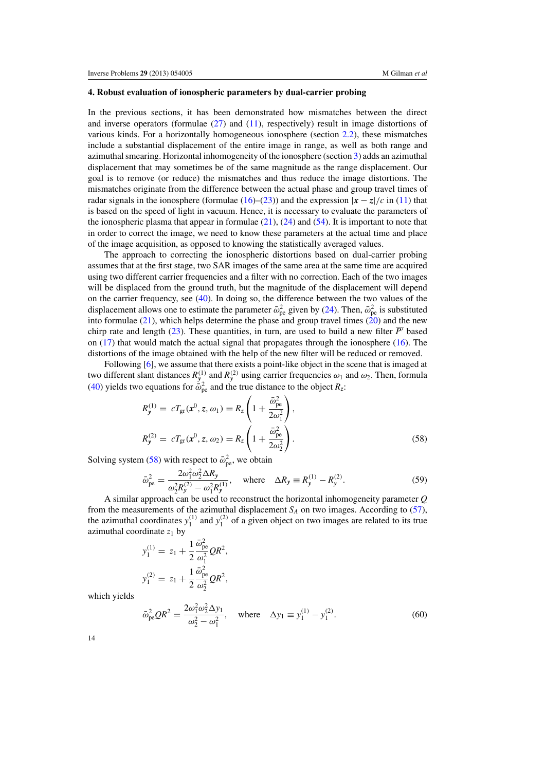#### <span id="page-13-0"></span>**4. Robust evaluation of ionospheric parameters by dual-carrier probing**

In the previous sections, it has been demonstrated how mismatches between the direct and inverse operators (formulae  $(27)$  and  $(11)$ , respectively) result in image distortions of various kinds. For a horizontally homogeneous ionosphere (section  $2.2$ ), these mismatches include a substantial displacement of the entire image in range, as well as both range and azimuthal smearing. Horizontal inhomogeneity of the ionosphere (section [3\)](#page-11-0) adds an azimuthal displacement that may sometimes be of the same magnitude as the range displacement. Our goal is to remove (or reduce) the mismatches and thus reduce the image distortions. The mismatches originate from the difference between the actual phase and group travel times of radar signals in the ionosphere (formulae [\(16\)](#page-7-0)–[\(23\)](#page-7-0)) and the expression  $|x - z|/c$  in [\(11\)](#page-6-0) that is based on the speed of light in vacuum. Hence, it is necessary to evaluate the parameters of the ionospheric plasma that appear in formulae  $(21)$ ,  $(24)$  and  $(54)$ . It is important to note that in order to correct the image, we need to know these parameters at the actual time and place of the image acquisition, as opposed to knowing the statistically averaged values.

The approach to correcting the ionospheric distortions based on dual-carrier probing assumes that at the first stage, two SAR images of the same area at the same time are acquired using two different carrier frequencies and a filter with no correction. Each of the two images will be displaced from the ground truth, but the magnitude of the displacement will depend on the carrier frequency, see [\(40\)](#page-10-0). In doing so, the difference between the two values of the displacement allows one to estimate the parameter  $\bar{\omega}_{pe}^2$  given by [\(24\)](#page-7-0). Then,  $\bar{\omega}_{pe}^2$  is substituted into formulae  $(21)$ , which helps determine the phase and group travel times  $(20)$  and the new chirp rate and length [\(23\)](#page-7-0). These quantities, in turn, are used to build a new filter  $\overline{P'}$  based on [\(17\)](#page-7-0) that would match the actual signal that propagates through the ionosphere [\(16\)](#page-7-0). The distortions of the image obtained with the help of the new filter will be reduced or removed.

Following [\[6\]](#page-32-0), we assume that there exists a point-like object in the scene that is imaged at two different slant distances  $R_y^{(1)}$  and  $R_y^{(2)}$  using carrier frequencies  $\omega_1$  and  $\omega_2$ . Then, formula [\(40\)](#page-10-0) yields two equations for  $\bar{\omega}_{pe}^2$  and the true distance to the object  $R_z$ :

$$
R_{y}^{(1)} = cT_{\rm gr}(\mathbf{x}^{0}, z, \omega_{1}) = R_{z} \left( 1 + \frac{\bar{\omega}_{\rm pe}^{2}}{2\omega_{1}^{2}} \right),
$$
  
\n
$$
R_{y}^{(2)} = cT_{\rm gr}(\mathbf{x}^{0}, z, \omega_{2}) = R_{z} \left( 1 + \frac{\bar{\omega}_{\rm pe}^{2}}{2\omega_{2}^{2}} \right).
$$
\n(58)

Solving system (58) with respect to  $\bar{\omega}_{pe}^2$ , we obtain

$$
\bar{\omega}_{\text{pe}}^2 = \frac{2\omega_1^2 \omega_2^2 \Delta R_y}{\omega_2^2 R_y^{(2)} - \omega_1^2 R_y^{(1)}}, \quad \text{where} \quad \Delta R_y \equiv R_y^{(1)} - R_y^{(2)}.
$$
 (59)

A similar approach can be used to reconstruct the horizontal inhomogeneity parameter *Q* from the measurements of the azimuthal displacement  $S_A$  on two images. According to  $(57)$ , the azimuthal coordinates  $y_1^{(1)}$  and  $y_1^{(2)}$  of a given object on two images are related to its true azimuthal coordinate  $z_1$  by

$$
y_1^{(1)} = z_1 + \frac{1}{2} \frac{\bar{\omega}_{pe}^2}{\omega_1^2} Q R^2,
$$
  

$$
y_1^{(2)} = z_1 + \frac{1}{2} \frac{\bar{\omega}_{pe}^2}{\omega_2^2} Q R^2,
$$

which yields

$$
\bar{\omega}_{\text{pe}}^2 Q R^2 = \frac{2\omega_1^2 \omega_2^2 \Delta y_1}{\omega_2^2 - \omega_1^2}, \quad \text{where} \quad \Delta y_1 \equiv y_1^{(1)} - y_1^{(2)}.
$$
 (60)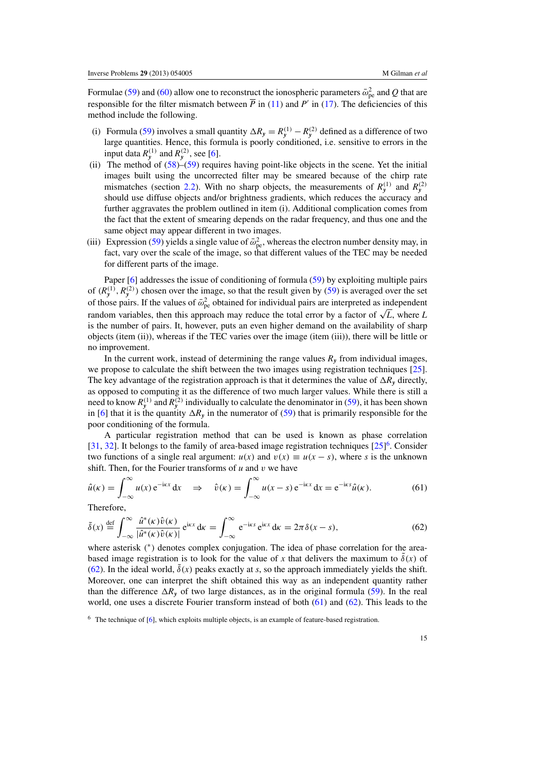<span id="page-14-0"></span>Formulae [\(59\)](#page-13-0) and [\(60\)](#page-13-0) allow one to reconstruct the ionospheric parameters  $\bar{\omega}_{pe}^2$  and *Q* that are responsible for the filter mismatch between  $\overline{P}$  in [\(11\)](#page-6-0) and  $P'$  in [\(17\)](#page-7-0). The deficiencies of this method include the following.

- (i) Formula [\(59\)](#page-13-0) involves a small quantity  $\Delta R_y = R_y^{(1)} R_y^{(2)}$  defined as a difference of two large quantities. Hence, this formula is poorly conditioned, i.e. sensitive to errors in the input data  $R_y^{(1)}$  and  $R_y^{(2)}$ , see [\[6](#page-32-0)].
- (ii) The method of  $(58)$ – $(59)$  requires having point-like objects in the scene. Yet the initial images built using the uncorrected filter may be smeared because of the chirp rate mismatches (section [2.2\)](#page-8-0). With no sharp objects, the measurements of  $R_y^{(1)}$  and  $R_y^{(2)}$ should use diffuse objects and/or brightness gradients, which reduces the accuracy and further aggravates the problem outlined in item (i). Additional complication comes from the fact that the extent of smearing depends on the radar frequency, and thus one and the same object may appear different in two images.
- (iii) Expression [\(59\)](#page-13-0) yields a single value of  $\bar{\omega}_{pe}^2$ , whereas the electron number density may, in fact, vary over the scale of the image, so that different values of the TEC may be needed for different parts of the image.

Paper [\[6](#page-32-0)] addresses the issue of conditioning of formula [\(59\)](#page-13-0) by exploiting multiple pairs of  $(R_y^{(1)}, R_y^{(2)})$  chosen over the image, so that the result given by [\(59\)](#page-13-0) is averaged over the set of those pairs. If the values of  $\bar{\omega}_{pe}^2$  obtained for individual pairs are interpreted as independent random variables, then this approach may reduce the total error by a factor of  $\sqrt{L}$ , where *L* is the number of pairs. It, however, puts an even higher demand on the availability of sharp objects (item (ii)), whereas if the TEC varies over the image (item (iii)), there will be little or no improvement.

In the current work, instead of determining the range values  $R<sub>v</sub>$  from individual images, we propose to calculate the shift between the two images using registration techniques [\[25\]](#page-33-0). The key advantage of the registration approach is that it determines the value of  $\Delta R$ <sup>*y*</sup> directly, as opposed to computing it as the difference of two much larger values. While there is still a need to know  $R_y^{(1)}$  and  $R_y^{(2)}$  individually to calculate the denominator in [\(59\)](#page-13-0), it has been shown in [\[6\]](#page-32-0) that it is the quantity  $\Delta R_y$  in the numerator of [\(59\)](#page-13-0) that is primarily responsible for the poor conditioning of the formula.

A particular registration method that can be used is known as phase correlation [\[31](#page-33-0), [32](#page-33-0)]. It belongs to the family of area-based image registration techniques  $[25]$ <sup>6</sup>. Consider two functions of a single real argument:  $u(x)$  and  $v(x) \equiv u(x - s)$ , where *s* is the unknown shift. Then, for the Fourier transforms of *u* and v we have

$$
\hat{u}(\kappa) = \int_{-\infty}^{\infty} u(x) e^{-i\kappa x} dx \quad \Rightarrow \quad \hat{v}(\kappa) = \int_{-\infty}^{\infty} u(x - s) e^{-i\kappa x} dx = e^{-i\kappa s} \hat{u}(\kappa).
$$
 (61)

Therefore,

$$
\tilde{\delta}(x) \stackrel{\text{def}}{=} \int_{-\infty}^{\infty} \frac{\hat{u}^*(\kappa)\hat{v}(\kappa)}{|\hat{u}^*(\kappa)\hat{v}(\kappa)|} e^{i\kappa x} d\kappa = \int_{-\infty}^{\infty} e^{-i\kappa s} e^{i\kappa x} d\kappa = 2\pi \delta(x - s),\tag{62}
$$

where asterisk (\*) denotes complex conjugation. The idea of phase correlation for the areabased image registration is to look for the value of x that delivers the maximum to  $\delta(x)$  of (62). In the ideal world,  $\delta(x)$  peaks exactly at *s*, so the approach immediately yields the shift. Moreover, one can interpret the shift obtained this way as an independent quantity rather than the difference  $\Delta R_y$  of two large distances, as in the original formula [\(59\)](#page-13-0). In the real world, one uses a discrete Fourier transform instead of both (61) and (62). This leads to the

<sup>6</sup> The technique of [\[6\]](#page-32-0), which exploits multiple objects, is an example of feature-based registration.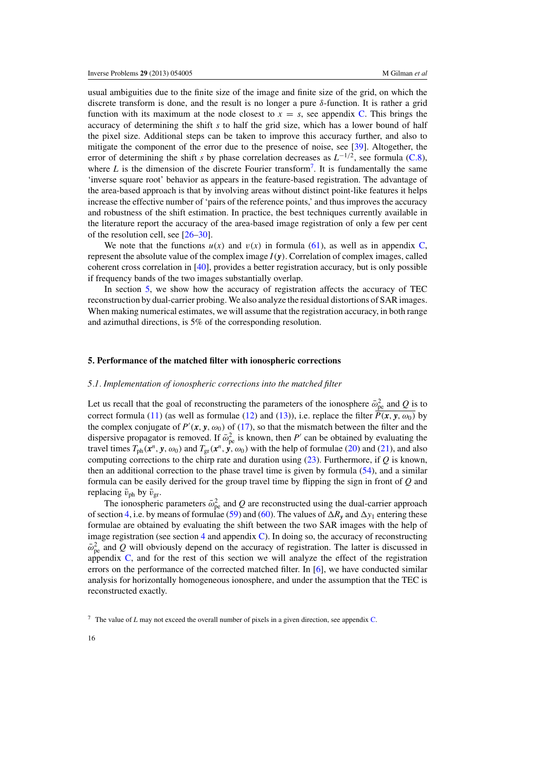<span id="page-15-0"></span>usual ambiguities due to the finite size of the image and finite size of the grid, on which the discrete transform is done, and the result is no longer a pure  $\delta$ -function. It is rather a grid function with its maximum at the node closest to  $x = s$ , see appendix [C.](#page-29-0) This brings the accuracy of determining the shift *s* to half the grid size, which has a lower bound of half the pixel size. Additional steps can be taken to improve this accuracy further, and also to mitigate the component of the error due to the presence of noise, see [\[39\]](#page-34-0). Altogether, the error of determining the shift *s* by phase correlation decreases as *L*<sup>−</sup>1/2, see formula [\(C.8\)](#page-31-0), where  $L$  is the dimension of the discrete Fourier transform<sup>7</sup>. It is fundamentally the same 'inverse square root' behavior as appears in the feature-based registration. The advantage of the area-based approach is that by involving areas without distinct point-like features it helps increase the effective number of 'pairs of the reference points,' and thus improves the accuracy and robustness of the shift estimation. In practice, the best techniques currently available in the literature report the accuracy of the area-based image registration of only a few per cent of the resolution cell, see [\[26–30\]](#page-33-0).

We note that the functions  $u(x)$  and  $v(x)$  in formula [\(61\)](#page-14-0), as well as in appendix [C,](#page-29-0) represent the absolute value of the complex image  $I(\mathbf{v})$ . Correlation of complex images, called coherent cross correlation in [\[40\]](#page-34-0), provides a better registration accuracy, but is only possible if frequency bands of the two images substantially overlap.

In section 5, we show how the accuracy of registration affects the accuracy of TEC reconstruction by dual-carrier probing. We also analyze the residual distortions of SAR images. When making numerical estimates, we will assume that the registration accuracy, in both range and azimuthal directions, is 5% of the corresponding resolution.

## **5. Performance of the matched filter with ionospheric corrections**

#### *5.1. Implementation of ionospheric corrections into the matched filter*

Let us recall that the goal of reconstructing the parameters of the ionosphere  $\bar{\omega}_{pe}^2$  and *Q* is to correct formula [\(11\)](#page-6-0) (as well as formulae [\(12\)](#page-6-0) and [\(13\)](#page-6-0)), i.e. replace the filter  $\overline{P(x, y, \omega_0)}$  by the complex conjugate of  $P'$ ( $x$ ,  $y$ ,  $\omega_0$ ) of [\(17\)](#page-7-0), so that the mismatch between the filter and the dispersive propagator is removed. If  $\bar{\omega}_{pe}^2$  is known, then *P*<sup>*'*</sup> can be obtained by evaluating the travel times  $T_{ph}(x^n, y, \omega_0)$  and  $T_{gr}(x^n, y, \omega_0)$  with the help of formulae [\(20\)](#page-7-0) and [\(21\)](#page-7-0), and also computing corrections to the chirp rate and duration using [\(23\)](#page-7-0). Furthermore, if *Q* is known, then an additional correction to the phase travel time is given by formula [\(54\)](#page-12-0), and a similar formula can be easily derived for the group travel time by flipping the sign in front of *Q* and replacing  $\bar{v}_{\text{ph}}$  by  $\bar{v}_{\text{gr}}$ .

The ionospheric parameters  $\bar{\omega}_{pe}^2$  and *Q* are reconstructed using the dual-carrier approach of section [4,](#page-13-0) i.e. by means of formulae [\(59\)](#page-13-0) and [\(60\)](#page-13-0). The values of  $\Delta R_y$  and  $\Delta y_1$  entering these formulae are obtained by evaluating the shift between the two SAR images with the help of image registration (see section [4](#page-13-0) and appendix  $\mathbb C$ ). In doing so, the accuracy of reconstructing  $\bar{\omega}_{\rm pe}^2$  and *Q* will obviously depend on the accuracy of registration. The latter is discussed in appendix [C,](#page-29-0) and for the rest of this section we will analyze the effect of the registration errors on the performance of the corrected matched filter. In [\[6](#page-32-0)], we have conducted similar analysis for horizontally homogeneous ionosphere, and under the assumption that the TEC is reconstructed exactly.

<sup>7</sup> The value of *L* may not exceed the overall number of pixels in a given direction, see appendix [C.](#page-29-0)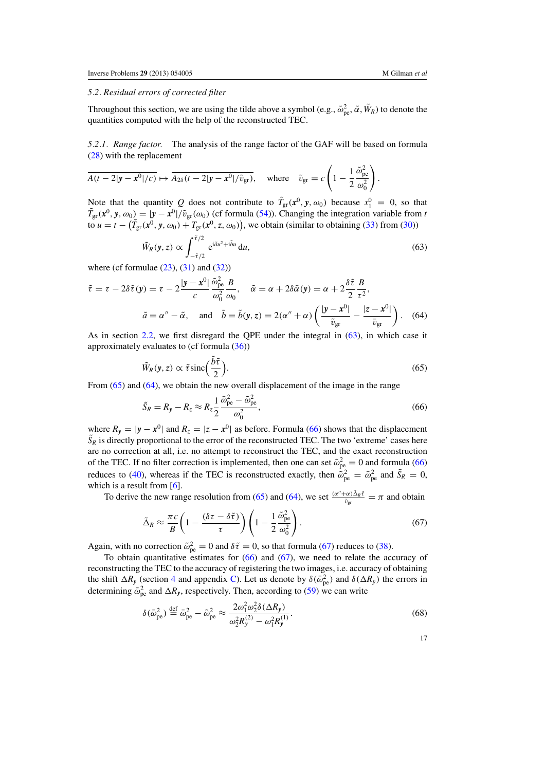#### <span id="page-16-0"></span>*5.2. Residual errors of corrected filter*

Throughout this section, we are using the tilde above a symbol (e.g.,  $\tilde{\omega}_{pe}^2$ ,  $\tilde{\alpha}$ ,  $\tilde{W}_R$ ) to denote the quantities computed with the help of the reconstructed TEC.

*5.2.1. Range factor.* The analysis of the range factor of the GAF will be based on formula [\(28\)](#page-8-0) with the replacement

$$
\overline{A(t-2|\mathbf{y}-\mathbf{x}^0|/c)} \mapsto \overline{A_{2\delta}(t-2|\mathbf{y}-\mathbf{x}^0|/\tilde{v}_{gr})}, \quad \text{where} \quad \tilde{v}_{gr} = c\left(1-\frac{1}{2}\frac{\tilde{\omega}_{pe}^2}{\omega_0^2}\right).
$$

Note that the quantity *Q* does not contribute to  $\tilde{T}_{gr}(x^0, y, \omega_0)$  because  $x_1^0 = 0$ , so that  $\tilde{T}_{gr}(\mathbf{x}^0, \mathbf{y}, \omega_0) = |\mathbf{y} - \mathbf{x}^0| / \tilde{v}_{gr}(\omega_0)$  (cf formula [\(54\)](#page-12-0)). Changing the integration variable from *t* to  $u = t - (\tilde{T}_{gr}(x^0, y, \omega_0) + T_{gr}(x^0, z, \omega_0))$ , we obtain (similar to obtaining [\(33\)](#page-9-0) from [\(30\)](#page-8-0))

$$
\tilde{W}_R(\mathbf{y}, z) \propto \int_{-\tilde{\tau}/2}^{\tilde{\tau}/2} e^{i\tilde{a}u^2 + i\tilde{b}u} \, \mathrm{d}u,\tag{63}
$$

where (cf formulae  $(23)$ ,  $(31)$  and  $(32)$ )

$$
\tilde{\tau} = \tau - 2\delta \tilde{\tau}(\mathbf{y}) = \tau - 2\frac{|\mathbf{y} - \mathbf{x}^0|}{c} \frac{\tilde{\omega}_{\text{pe}}^2}{\omega_0^2} \frac{B}{\omega_0}, \quad \tilde{\alpha} = \alpha + 2\delta \tilde{\alpha}(\mathbf{y}) = \alpha + 2\frac{\delta \tilde{\tau}}{2} \frac{B}{\tau^2},
$$
\n
$$
\tilde{a} = \alpha'' - \tilde{\alpha}, \quad \text{and} \quad \tilde{b} = \tilde{b}(\mathbf{y}, z) = 2(\alpha'' + \alpha) \left( \frac{|\mathbf{y} - \mathbf{x}^0|}{\tilde{v}_{\text{gr}}} - \frac{|z - \mathbf{x}^0|}{\tilde{v}_{\text{gr}}} \right). \tag{64}
$$

As in section [2.2,](#page-8-0) we first disregard the QPE under the integral in (63), in which case it approximately evaluates to (cf formula [\(36\)](#page-9-0))

$$
\tilde{W}_R(y, z) \propto \tilde{\tau} \operatorname{sinc}\left(\frac{\tilde{b}\tilde{\tau}}{2}\right). \tag{65}
$$

From (65) and (64), we obtain the new overall displacement of the image in the range

$$
\tilde{S}_R = R_y - R_z \approx R_z \frac{1}{2} \frac{\bar{\omega}_{\rm pe}^2 - \tilde{\omega}_{\rm pe}^2}{\omega_0^2},\tag{66}
$$

where  $R_y = |y - x^0|$  and  $R_z = |z - x^0|$  as before. Formula (66) shows that the displacement  $\tilde{S}_R$  is directly proportional to the error of the reconstructed TEC. The two 'extreme' cases here are no correction at all, i.e. no attempt to reconstruct the TEC, and the exact reconstruction of the TEC. If no filter correction is implemented, then one can set  $\tilde{\omega}_{pe}^2 = 0$  and formula (66) reduces to [\(40\)](#page-10-0), whereas if the TEC is reconstructed exactly, then  $\dot{\tilde{\omega}}_{pe}^2 = \tilde{\omega}_{pe}^2$  and  $\tilde{S}_R = 0$ , which is a result from [\[6\]](#page-32-0).

To derive the new range resolution from (65) and (64), we set  $\frac{(\alpha'' + \alpha)\tilde{\Delta}_{R}\tilde{\tau}}{\tilde{v}_{gr}} = \pi$  and obtain

$$
\tilde{\Delta}_R \approx \frac{\pi c}{B} \left( 1 - \frac{(\delta \tau - \delta \tilde{\tau})}{\tau} \right) \left( 1 - \frac{1}{2} \frac{\tilde{\omega}_{\text{pe}}^2}{\omega_0^2} \right). \tag{67}
$$

Again, with no correction  $\tilde{\omega}_{pe}^2 = 0$  and  $\delta \tilde{\tau} = 0$ , so that formula (67) reduces to [\(38\)](#page-9-0).

To obtain quantitative estimates for  $(66)$  and  $(67)$ , we need to relate the accuracy of reconstructing the TEC to the accuracy of registering the two images, i.e. accuracy of obtaining the shift  $\Delta R_y$  (section [4](#page-13-0) and appendix [C\)](#page-29-0). Let us denote by  $\delta(\bar{\omega}_{pe}^2)$  and  $\delta(\Delta R_y)$  the errors in determining  $\bar{\omega}_{\rm pe}^2$  and  $\Delta R_y$ , respectively. Then, according to [\(59\)](#page-13-0) we can write

$$
\delta(\bar{\omega}_{\rm pe}^2) \stackrel{\text{def}}{=} \bar{\omega}_{\rm pe}^2 - \tilde{\omega}_{\rm pe}^2 \approx \frac{2\omega_1^2 \omega_2^2 \delta(\Delta R_y)}{\omega_2^2 R_y^{(2)} - \omega_1^2 R_y^{(1)}}.
$$
\n(68)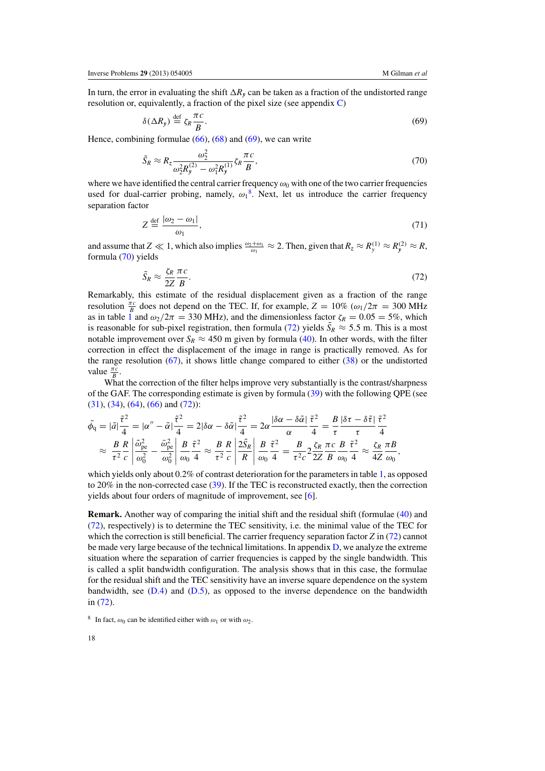<span id="page-17-0"></span>In turn, the error in evaluating the shift  $\Delta R_y$  can be taken as a fraction of the undistorted range resolution or, equivalently, a fraction of the pixel size (see appendix  $C$ )

$$
\delta(\Delta R_{\mathbf{y}}) \stackrel{\text{def}}{=} \zeta_R \frac{\pi c}{B}.\tag{69}
$$

Hence, combining formulae  $(66)$ ,  $(68)$  and  $(69)$ , we can write

$$
\tilde{S}_R \approx R_z \frac{\omega_2^2}{\omega_2^2 R_y^{(2)} - \omega_1^2 R_y^{(1)}} \zeta_R \frac{\pi c}{B},\tag{70}
$$

where we have identified the central carrier frequency  $\omega_0$  with one of the two carrier frequencies used for dual-carrier probing, namely,  $\omega_1^8$ . Next, let us introduce the carrier frequency separation factor

$$
Z \stackrel{\text{def}}{=} \frac{|\omega_2 - \omega_1|}{\omega_1},\tag{71}
$$

and assume that  $Z \ll 1$ , which also implies  $\frac{\omega_2 + \omega_1}{\omega_1} \approx 2$ . Then, given that  $R_z \approx R_y^{(1)} \approx R_y^{(2)} \approx R$ , formula (70) yields

$$
\tilde{S}_R \approx \frac{\zeta_R \pi c}{2Z B}.\tag{72}
$$

Remarkably, this estimate of the residual displacement given as a fraction of the range resolution  $\frac{\pi c}{B}$  does not depend on the TEC. If, for example,  $Z = 10\%$  ( $\omega_1/2\pi = 300$  MHz as in table [1](#page-4-0) and  $\omega_2/2\pi = 330$  MHz), and the dimensionless factor  $\zeta_R = 0.05 = 5\%$ , which is reasonable for sub-pixel registration, then formula (72) yields  $\tilde{S}_R \approx 5.5$  m. This is a most notable improvement over  $S_R \approx 450$  m given by formula [\(40\)](#page-10-0). In other words, with the filter correction in effect the displacement of the image in range is practically removed. As for the range resolution [\(67\)](#page-16-0), it shows little change compared to either [\(38\)](#page-9-0) or the undistorted value  $\frac{\pi c}{B}$ .

What the correction of the filter helps improve very substantially is the contrast/sharpness of the GAF. The corresponding estimate is given by formula [\(39\)](#page-9-0) with the following QPE (see  $(31), (34), (64), (66)$  $(31), (34), (64), (66)$  $(31), (34), (64), (66)$  $(31), (34), (64), (66)$  $(31), (34), (64), (66)$  $(31), (34), (64), (66)$  $(31), (34), (64), (66)$  and  $(72)$ :

$$
\tilde{\phi}_{q} = |\tilde{a}| \frac{\tilde{\tau}^{2}}{4} = |\alpha'' - \tilde{\alpha}| \frac{\tilde{\tau}^{2}}{4} = 2|\delta\alpha - \delta\tilde{\alpha}| \frac{\tilde{\tau}^{2}}{4} = 2\alpha \frac{|\delta\alpha - \delta\tilde{\alpha}|}{\alpha} \frac{\tilde{\tau}^{2}}{4} = \frac{B}{\tau} \frac{|\delta\tau - \delta\tilde{\tau}|}{\tau} \frac{\tilde{\tau}^{2}}{4}
$$
\n
$$
\approx \frac{B}{\tau^{2}} \frac{R}{c} \left| \frac{\tilde{\omega}_{pe}^{2}}{\omega_{0}^{2}} - \frac{\tilde{\omega}_{pe}^{2}}{\omega_{0}^{2}} \right| \frac{B}{\omega_{0}} \frac{\tilde{\tau}^{2}}{4} \approx \frac{B}{\tau^{2}} \frac{R}{c} \left| \frac{B}{\tilde{\tau}^{2}} \frac{\tilde{\tau}^{2}}{\omega_{0}} \frac{B}{4} \frac{\tilde{\tau}^{2}}{4} = \frac{B}{\tau^{2}c} 2 \frac{\zeta_{R}}{2Z} \frac{\pi}{B} \frac{\tilde{\tau}^{2}}{\omega_{0}} \approx \frac{\zeta_{R}}{4Z} \frac{\pi B}{\omega_{0}},
$$

which yields only about 0.2% of contrast deterioration for the parameters in table [1,](#page-4-0) as opposed to 20% in the non-corrected case [\(39\)](#page-9-0). If the TEC is reconstructed exactly, then the correction yields about four orders of magnitude of improvement, see [\[6\]](#page-32-0).

**Remark.** Another way of comparing the initial shift and the residual shift (formulae [\(40\)](#page-10-0) and (72), respectively) is to determine the TEC sensitivity, i.e. the minimal value of the TEC for which the correction is still beneficial. The carrier frequency separation factor *Z* in (72) cannot be made very large because of the technical limitations. In appendix [D,](#page-31-0) we analyze the extreme situation where the separation of carrier frequencies is capped by the single bandwidth. This is called a split bandwidth configuration. The analysis shows that in this case, the formulae for the residual shift and the TEC sensitivity have an inverse square dependence on the system bandwidth, see  $(D.4)$  and  $(D.5)$ , as opposed to the inverse dependence on the bandwidth in (72).

<sup>&</sup>lt;sup>8</sup> In fact,  $\omega_0$  can be identified either with  $\omega_1$  or with  $\omega_2$ .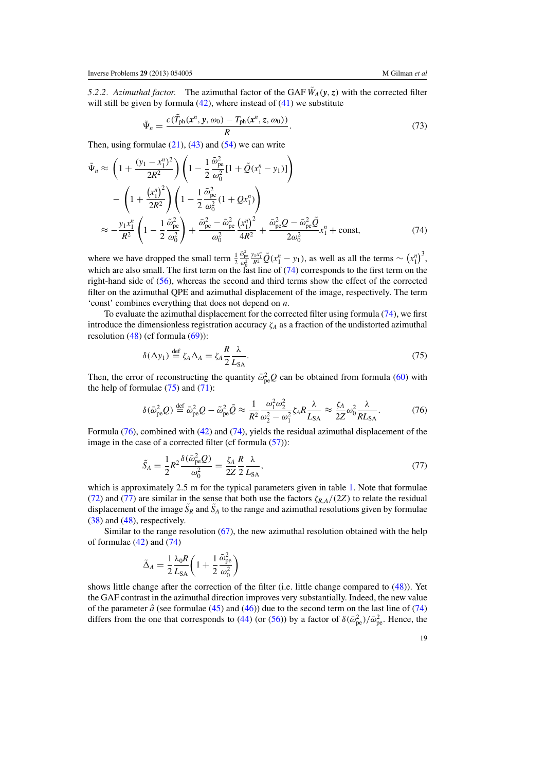<span id="page-18-0"></span>*5.2.2. Azimuthal factor.* The azimuthal factor of the GAF  $\tilde{W}_A(y, z)$  with the corrected filter will still be given by formula  $(42)$ , where instead of  $(41)$  we substitute

$$
\tilde{\Psi}_n = \frac{c(\tilde{T}_{\text{ph}}(\mathbf{x}^n, \mathbf{y}, \omega_0) - T_{\text{ph}}(\mathbf{x}^n, \mathbf{z}, \omega_0))}{R}.
$$
\n(73)

Then, using formulae  $(21)$ ,  $(43)$  and  $(54)$  we can write

$$
\tilde{\Psi}_n \approx \left(1 + \frac{(y_1 - x_1^n)^2}{2R^2}\right) \left(1 - \frac{1}{2} \frac{\tilde{\omega}_{pe}^2}{\omega_0^2} [1 + \tilde{Q}(x_1^n - y_1)]\right) \n- \left(1 + \frac{(x_1^n)^2}{2R^2}\right) \left(1 - \frac{1}{2} \frac{\tilde{\omega}_{pe}^2}{\omega_0^2} (1 + Qx_1^n)\right) \n\approx -\frac{y_1 x_1^n}{R^2} \left(1 - \frac{1}{2} \frac{\tilde{\omega}_{pe}^2}{\omega_0^2}\right) + \frac{\tilde{\omega}_{pe}^2 - \tilde{\omega}_{pe}^2}{\omega_0^2} \frac{(x_1^n)^2}{4R^2} + \frac{\tilde{\omega}_{pe}^2 Q - \tilde{\omega}_{pe}^2 \tilde{Q}}{2\omega_0^2} x_1^n + \text{const},
$$
\n(74)

where we have dropped the small term  $\frac{1}{2}$  $\frac{\tilde{\omega}_{\rm pe}^2}{\omega_0^2}$  $\frac{y_1 x_1^n}{R^2} \tilde{Q}(x_1^n - y_1)$ , as well as all the terms ~  $(x_1^n)^3$ , which are also small. The first term on the last line of (74) corresponds to the first term on the right-hand side of [\(56\)](#page-12-0), whereas the second and third terms show the effect of the corrected filter on the azimuthal QPE and azimuthal displacement of the image, respectively. The term 'const' combines everything that does not depend on *n*.

To evaluate the azimuthal displacement for the corrected filter using formula (74), we first introduce the dimensionless registration accuracy ζ*<sup>A</sup>* as a fraction of the undistorted azimuthal resolution  $(48)$  (cf formula  $(69)$ ):

$$
\delta(\Delta y_1) \stackrel{\text{def}}{=} \zeta_A \Delta_A = \zeta_A \frac{R}{2} \frac{\lambda}{L_{SA}}.
$$
 (75)

Then, the error of reconstructing the quantity  $\bar{\omega}_{pe}^2 Q$  can be obtained from formula [\(60\)](#page-13-0) with the help of formulae  $(75)$  and  $(71)$ :

$$
\delta(\bar{\omega}_{\rm pe}^2 Q) \stackrel{\text{def}}{=} \bar{\omega}_{\rm pe}^2 Q - \tilde{\omega}_{\rm pe}^2 \tilde{Q} \approx \frac{1}{R^2} \frac{\omega_1^2 \omega_2^2}{\omega_2^2 - \omega_1^2} \zeta_A R \frac{\lambda}{L_{\rm SA}} \approx \frac{\zeta_A}{2Z} \omega_0^2 \frac{\lambda}{R L_{\rm SA}}.\tag{76}
$$

Formula (76), combined with [\(42\)](#page-10-0) and (74), yields the residual azimuthal displacement of the image in the case of a corrected filter (cf formula [\(57\)](#page-12-0)):

$$
\tilde{S}_A = \frac{1}{2} R^2 \frac{\delta(\bar{\omega}_{pe}^2 Q)}{\omega_0^2} = \frac{\zeta_A}{2Z} \frac{R}{2} \frac{\lambda}{L_{SA}},\tag{77}
$$

which is approximately 2.5 m for the typical parameters given in table [1.](#page-4-0) Note that formulae [\(72\)](#page-17-0) and (77) are similar in the sense that both use the factors  $\zeta_{RA}/(2Z)$  to relate the residual displacement of the image  $\tilde{S}_R$  and  $\tilde{S}_A$  to the range and azimuthal resolutions given by formulae [\(38\)](#page-9-0) and [\(48\)](#page-11-0), respectively.

Similar to the range resolution  $(67)$ , the new azimuthal resolution obtained with the help of formulae  $(42)$  and  $(74)$ 

$$
\tilde{\Delta}_A = \frac{1}{2} \frac{\lambda_0 R}{L_{SA}} \left( 1 + \frac{1}{2} \frac{\tilde{\omega}_{pe}^2}{\omega_0^2} \right)
$$

shows little change after the correction of the filter (i.e. little change compared to [\(48\)](#page-11-0)). Yet the GAF contrast in the azimuthal direction improves very substantially. Indeed, the new value of the parameter  $\hat{a}$  (see formulae [\(45\)](#page-11-0) and [\(46\)](#page-11-0)) due to the second term on the last line of (74) differs from the one that corresponds to [\(44\)](#page-10-0) (or [\(56\)](#page-12-0)) by a factor of  $\delta(\bar{\omega}_{pe}^2)/\bar{\omega}_{pe}^2$ . Hence, the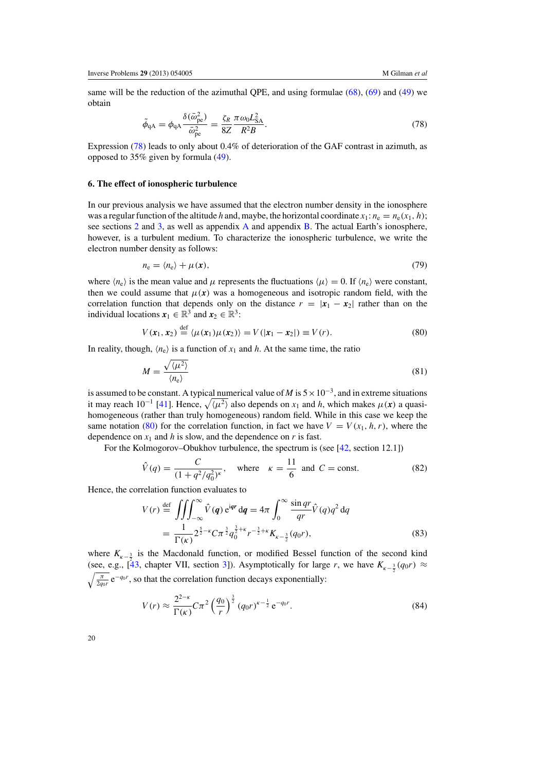<span id="page-19-0"></span>same will be the reduction of the azimuthal QPE, and using formulae [\(68\)](#page-16-0), [\(69\)](#page-17-0) and [\(49\)](#page-11-0) we obtain

$$
\tilde{\phi}_{\mathbf{q}\mathbf{A}} = \phi_{\mathbf{q}\mathbf{A}} \frac{\delta(\bar{\omega}_{\mathbf{p}\mathbf{e}}^2)}{\bar{\omega}_{\mathbf{p}\mathbf{e}}^2} = \frac{\zeta_R}{8Z} \frac{\pi \omega_0 L_{SA}^2}{R^2 B}.
$$
\n(78)

Expression (78) leads to only about 0.4% of deterioration of the GAF contrast in azimuth, as opposed to 35% given by formula [\(49\)](#page-11-0).

# **6. The effect of ionospheric turbulence**

In our previous analysis we have assumed that the electron number density in the ionosphere was a regular function of the altitude *h* and, maybe, the horizontal coordinate  $x_1$ :  $n_e = n_e(x_1, h)$ ; see sections [2](#page-4-0) and [3,](#page-11-0) as well as appendix [A](#page-25-0) and appendix [B.](#page-27-0) The actual Earth's ionosphere, however, is a turbulent medium. To characterize the ionospheric turbulence, we write the electron number density as follows:

$$
n_{\rm e} = \langle n_{\rm e} \rangle + \mu(x),\tag{79}
$$

where  $\langle n_e \rangle$  is the mean value and  $\mu$  represents the fluctuations  $\langle \mu \rangle = 0$ . If  $\langle n_e \rangle$  were constant, then we could assume that  $\mu(x)$  was a homogeneous and isotropic random field, with the correlation function that depends only on the distance  $r = |x_1 - x_2|$  rather than on the individual locations  $x_1 \in \mathbb{R}^3$  and  $x_2 \in \mathbb{R}^3$ :

$$
V(\mathbf{x}_1, \mathbf{x}_2) \stackrel{\text{def}}{=} \langle \mu(\mathbf{x}_1)\mu(\mathbf{x}_2) \rangle = V(|\mathbf{x}_1 - \mathbf{x}_2|) \equiv V(r). \tag{80}
$$

In reality, though,  $\langle n_e \rangle$  is a function of  $x_1$  and *h*. At the same time, the ratio

$$
M = \frac{\sqrt{\langle \mu^2 \rangle}}{\langle n_e \rangle} \tag{81}
$$

is assumed to be constant. A typical numerical value of *M* is  $5 \times 10^{-3}$ , and in extreme situations it may reach 10<sup>-1</sup> [\[41\]](#page-34-0). Hence,  $\sqrt{\langle \mu^2 \rangle}$  also depends on  $x_1$  and *h*, which makes  $\mu(x)$  a quasihomogeneous (rather than truly homogeneous) random field. While in this case we keep the same notation (80) for the correlation function, in fact we have  $V = V(x_1, h, r)$ , where the dependence on  $x_1$  and h is slow, and the dependence on r is fast.

For the Kolmogorov–Obukhov turbulence, the spectrum is (see [\[42,](#page-34-0) section 12.1])

$$
\hat{V}(q) = \frac{C}{(1 + q^2/q_0^2)^{\kappa}}, \text{ where } \kappa = \frac{11}{6} \text{ and } C = \text{const.}
$$
\n(82)

Hence, the correlation function evaluates to

$$
V(r) \stackrel{\text{def}}{=} \iiint_{-\infty}^{\infty} \hat{V}(q) e^{iqr} dq = 4\pi \int_{0}^{\infty} \frac{\sin qr}{qr} \hat{V}(q) q^2 dq
$$
  

$$
= \frac{1}{\Gamma(\kappa)} 2^{\frac{5}{2} - \kappa} C \pi^{\frac{3}{2}} q_0^{\frac{3}{2} + \kappa} r^{-\frac{3}{2} + \kappa} K_{\kappa - \frac{3}{2}}(q_0 r),
$$
 (83)

where  $K_{k-\frac{3}{2}}$  is the Macdonald function, or modified Bessel function of the second kind (see, e.g.,  $\left[\frac{4}{3}, \frac{4}{3}\right]$ , chapter VII, section [3\]](#page-11-0)). Asymptotically for large *r*, we have  $K_{\kappa-\frac{3}{2}}(q_0r) \approx$  $\sqrt{\frac{\pi}{2q_0r}} e^{-q_0r}$ , so that the correlation function decays exponentially:

$$
V(r) \approx \frac{2^{2-\kappa}}{\Gamma(\kappa)} C \pi^2 \left(\frac{q_0}{r}\right)^{\frac{3}{2}} (q_0 r)^{\kappa - \frac{1}{2}} e^{-q_0 r}.
$$
 (84)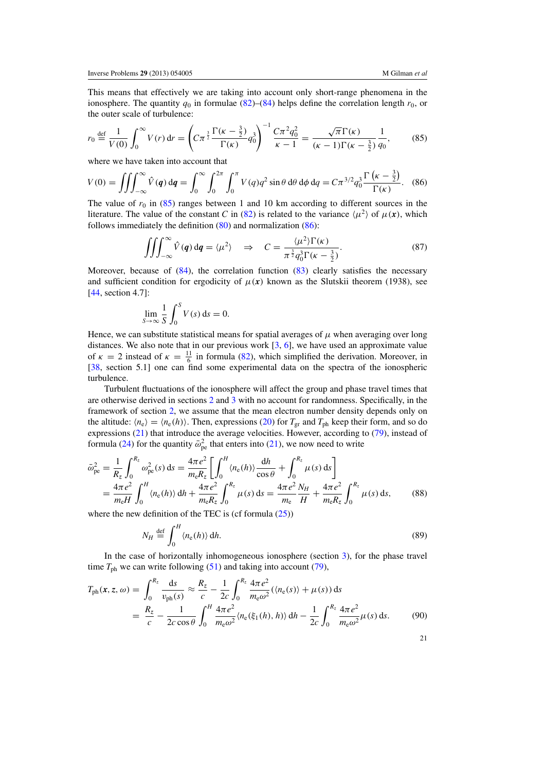<span id="page-20-0"></span>This means that effectively we are taking into account only short-range phenomena in the ionosphere. The quantity  $q_0$  in formulae [\(82\)](#page-19-0)–[\(84\)](#page-19-0) helps define the correlation length  $r_0$ , or the outer scale of turbulence:

$$
r_0 \stackrel{\text{def}}{=} \frac{1}{V(0)} \int_0^\infty V(r) \, \mathrm{d}r = \left( C \pi^{\frac{3}{2}} \frac{\Gamma(\kappa - \frac{3}{2})}{\Gamma(\kappa)} q_0^3 \right)^{-1} \frac{C \pi^2 q_0^2}{\kappa - 1} = \frac{\sqrt{\pi} \Gamma(\kappa)}{(\kappa - 1) \Gamma(\kappa - \frac{3}{2})} \frac{1}{q_0},\tag{85}
$$

where we have taken into account that

$$
V(0) = \iiint_{-\infty}^{\infty} \hat{V}(q) \, dq = \int_{0}^{\infty} \int_{0}^{2\pi} \int_{0}^{\pi} V(q) q^{2} \sin \theta \, d\theta \, d\phi \, dq = C \pi^{3/2} q_{0}^{3} \frac{\Gamma\left(\kappa - \frac{3}{2}\right)}{\Gamma(\kappa)}.
$$
 (86)

The value of  $r_0$  in (85) ranges between 1 and 10 km according to different sources in the literature. The value of the constant *C* in [\(82\)](#page-19-0) is related to the variance  $\langle \mu^2 \rangle$  of  $\mu(x)$ , which follows immediately the definition [\(80\)](#page-19-0) and normalization (86):

$$
\iiint_{-\infty}^{\infty} \hat{V}(\mathbf{q}) d\mathbf{q} = \langle \mu^2 \rangle \quad \Rightarrow \quad C = \frac{\langle \mu^2 \rangle \Gamma(\kappa)}{\pi^{\frac{3}{2}} q_0^3 \Gamma(\kappa - \frac{3}{2})}.
$$
 (87)

Moreover, because of [\(84\)](#page-19-0), the correlation function [\(83\)](#page-19-0) clearly satisfies the necessary and sufficient condition for ergodicity of  $\mu(x)$  known as the Slutskii theorem (1938), see [\[44](#page-34-0), section 4.7]:

$$
\lim_{S \to \infty} \frac{1}{S} \int_0^S V(s) \, \mathrm{d} s = 0.
$$

Hence, we can substitute statistical means for spatial averages of  $\mu$  when averaging over long distances. We also note that in our previous work [\[3,](#page-32-0) [6](#page-32-0)], we have used an approximate value of  $\kappa = 2$  instead of  $\kappa = \frac{11}{6}$  in formula [\(82\)](#page-19-0), which simplified the derivation. Moreover, in [\[38](#page-34-0), section 5.1] one can find some experimental data on the spectra of the ionospheric turbulence.

Turbulent fluctuations of the ionosphere will affect the group and phase travel times that are otherwise derived in sections [2](#page-4-0) and [3](#page-11-0) with no account for randomness. Specifically, in the framework of section [2,](#page-4-0) we assume that the mean electron number density depends only on the altitude:  $\langle n_e \rangle = \langle n_e(h) \rangle$ . Then, expressions [\(20\)](#page-7-0) for  $T_{gr}$  and  $T_{ph}$  keep their form, and so do expressions [\(21\)](#page-7-0) that introduce the average velocities. However, according to [\(79\)](#page-19-0), instead of formula [\(24\)](#page-7-0) for the quantity  $\bar{\omega}_{pe}^2$  that enters into [\(21\)](#page-7-0), we now need to write

$$
\bar{\omega}_{pe}^{2} = \frac{1}{R_{z}} \int_{0}^{R_{z}} \omega_{pe}^{2}(s) ds = \frac{4\pi e^{2}}{m_{e}R_{z}} \left[ \int_{0}^{H} \langle n_{e}(h) \rangle \frac{dh}{\cos \theta} + \int_{0}^{R_{z}} \mu(s) ds \right]
$$

$$
= \frac{4\pi e^{2}}{m_{e}H} \int_{0}^{H} \langle n_{e}(h) \rangle dh + \frac{4\pi e^{2}}{m_{e}R_{z}} \int_{0}^{R_{z}} \mu(s) ds = \frac{4\pi e^{2}}{m_{e}} \frac{N_{H}}{H} + \frac{4\pi e^{2}}{m_{e}R_{z}} \int_{0}^{R_{z}} \mu(s) ds, \qquad (88)
$$

where the new definition of the TEC is (cf formula  $(25)$ )

$$
N_H \stackrel{\text{def}}{=} \int_0^H \langle n_{\text{e}}(h) \rangle \, \mathrm{d}h. \tag{89}
$$

In the case of horizontally inhomogeneous ionosphere (section [3\)](#page-11-0), for the phase travel time  $T_{ph}$  we can write following [\(51\)](#page-12-0) and taking into account [\(79\)](#page-19-0),

$$
T_{\text{ph}}(\mathbf{x}, z, \omega) = \int_0^{R_z} \frac{ds}{v_{\text{ph}}(s)} \approx \frac{R_z}{c} - \frac{1}{2c} \int_0^{R_z} \frac{4\pi e^2}{m_e \omega^2} (\langle n_e(s) \rangle + \mu(s)) ds
$$
  
= 
$$
\frac{R_z}{c} - \frac{1}{2c \cos \theta} \int_0^H \frac{4\pi e^2}{m_e \omega^2} \langle n_e(\xi_1(h), h) \rangle dh - \frac{1}{2c} \int_0^{R_z} \frac{4\pi e^2}{m_e \omega^2} \mu(s) ds.
$$
 (90)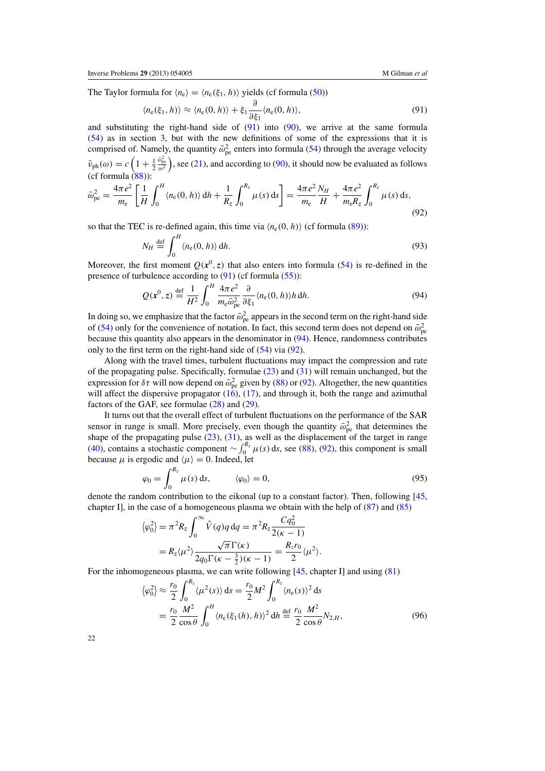<span id="page-21-0"></span>The Taylor formula for  $\langle n_e \rangle = \langle n_e(\xi_1, h) \rangle$  yields (cf formula [\(50\)](#page-11-0))

$$
\langle n_{\rm e}(\xi_1, h) \rangle \approx \langle n_{\rm e}(0, h) \rangle + \xi_1 \frac{\partial}{\partial \xi_1} \langle n_{\rm e}(0, h) \rangle, \tag{91}
$$

and substituting the right-hand side of  $(91)$  into  $(90)$ , we arrive at the same formula [\(54\)](#page-12-0) as in section [3,](#page-11-0) but with the new definitions of some of the expressions that it is comprised of. Namely, the quantity  $\bar{\omega}_{pe}^2$  enters into formula [\(54\)](#page-12-0) through the average velocity  $\bar{v}_{\text{ph}}(\omega) = c \left( 1 + \frac{1}{2} \right)$  $\frac{\bar{\omega}_{pe}^2}{\omega^2}$ ), see [\(21\)](#page-7-0), and according to [\(90\)](#page-20-0), it should now be evaluated as follows (cf formula  $(88)$ ):

$$
\bar{\omega}_{\rm pe}^2 = \frac{4\pi e^2}{m_{\rm e}} \left[ \frac{1}{H} \int_0^H \langle n_{\rm e}(0, h) \rangle \, \mathrm{d}h + \frac{1}{R_z} \int_0^{R_z} \mu(s) \, \mathrm{d}s \right] = \frac{4\pi e^2}{m_{\rm e}} \frac{N_H}{H} + \frac{4\pi e^2}{m_{\rm e} R_z} \int_0^{R_z} \mu(s) \, \mathrm{d}s,\tag{92}
$$

so that the TEC is re-defined again, this time via  $\langle n_e(0, h) \rangle$  (cf formula [\(89\)](#page-20-0)):

$$
N_H \stackrel{\text{def}}{=} \int_0^H \langle n_e(0, h) \rangle \, \mathrm{d}h. \tag{93}
$$

Moreover, the first moment  $Q(x^0, z)$  that also enters into formula [\(54\)](#page-12-0) is re-defined in the presence of turbulence according to (91) (cf formula [\(55\)](#page-12-0)):

$$
Q(\mathbf{x}^0, z) \stackrel{\text{def}}{=} \frac{1}{H^2} \int_0^H \frac{4\pi e^2}{m_e \bar{\omega}_{pe}^2} \frac{\partial}{\partial \xi_1} \langle n_e(0, h) \rangle h \, dh. \tag{94}
$$

In doing so, we emphasize that the factor  $\bar{\omega}_{pe}^2$  appears in the second term on the right-hand side of [\(54\)](#page-12-0) only for the convenience of notation. In fact, this second term does not depend on  $\bar{\omega}_{pe}^2$ because this quantity also appears in the denominator in (94). Hence, randomness contributes only to the first term on the right-hand side of [\(54\)](#page-12-0) via (92).

Along with the travel times, turbulent fluctuations may impact the compression and rate of the propagating pulse. Specifically, formulae [\(23\)](#page-7-0) and [\(31\)](#page-8-0) will remain unchanged, but the expression for  $\delta\tau$  will now depend on  $\bar{\omega}_{pe}^2$  given by [\(88\)](#page-20-0) or (92). Altogether, the new quantities will affect the dispersive propagator  $(16)$ ,  $(17)$ , and through it, both the range and azimuthal factors of the GAF, see formulae [\(28\)](#page-8-0) and [\(29\)](#page-8-0).

It turns out that the overall effect of turbulent fluctuations on the performance of the SAR sensor in range is small. More precisely, even though the quantity  $\bar{\omega}_{pe}^2$  that determines the shape of the propagating pulse  $(23)$ ,  $(31)$ , as well as the displacement of the target in range [\(40\)](#page-10-0), contains a stochastic component  $\sim \int_0^{R_z} \mu(s) ds$ , see [\(88\)](#page-20-0), (92), this component is small because  $\mu$  is ergodic and  $\langle \mu \rangle = 0$ . Indeed, let

$$
\varphi_0 = \int_0^{R_z} \mu(s) \, \mathrm{d}s, \qquad \langle \varphi_0 \rangle = 0, \tag{95}
$$

denote the random contribution to the eikonal (up to a constant factor). Then, following [\[45](#page-34-0), chapter I], in the case of a homogeneous plasma we obtain with the help of  $(87)$  and  $(85)$ 

$$
\langle \varphi_0^2 \rangle = \pi^2 R_z \int_0^\infty \hat{V}(q) q \, dq = \pi^2 R_z \frac{C q_0^2}{2(\kappa - 1)}
$$
  
=  $R_z \langle \mu^2 \rangle \frac{\sqrt{\pi} \Gamma(\kappa)}{2q_0 \Gamma(\kappa - \frac{3}{2})(\kappa - 1)} = \frac{R_z r_0}{2} \langle \mu^2 \rangle.$ 

For the inhomogeneous plasma, we can write following [\[45](#page-34-0), chapter I] and using [\(81\)](#page-19-0)

$$
\langle \varphi_0^2 \rangle \approx \frac{r_0}{2} \int_0^{R_z} \langle \mu^2(s) \rangle \, ds = \frac{r_0}{2} M^2 \int_0^{R_z} \langle n_e(s) \rangle^2 \, ds
$$
  
=  $\frac{r_0}{2} \frac{M^2}{\cos \theta} \int_0^H \langle n_e(\xi_1(h), h) \rangle^2 \, dh \stackrel{\text{def}}{=} \frac{r_0}{2} \frac{M^2}{\cos \theta} N_{2,H},$  (96)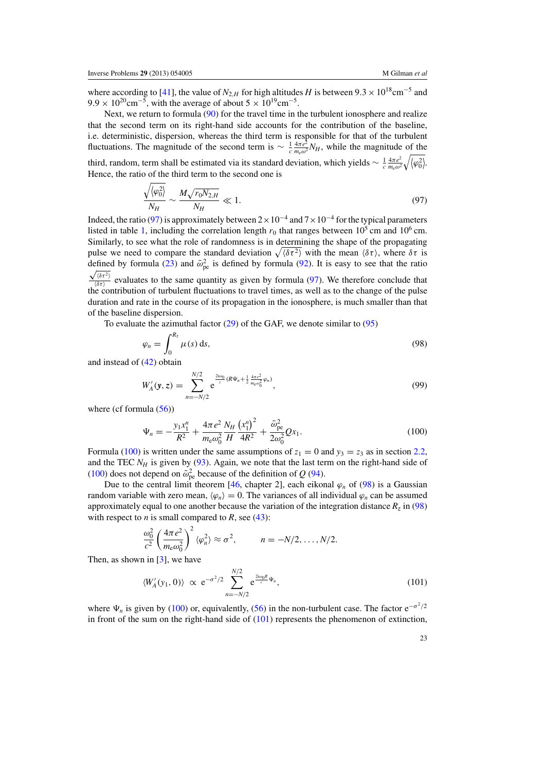<span id="page-22-0"></span>where according to [\[41](#page-34-0)], the value of  $N_{2,H}$  for high altitudes *H* is between  $9.3 \times 10^{18}$ cm<sup>-5</sup> and 9.9 × 10<sup>20</sup>cm<sup>-5</sup>, with the average of about  $5 \times 10^{19}$ cm<sup>-5</sup>.

Next, we return to formula [\(90\)](#page-20-0) for the travel time in the turbulent ionosphere and realize that the second term on its right-hand side accounts for the contribution of the baseline, i.e. deterministic, dispersion, whereas the third term is responsible for that of the turbulent fluctuations. The magnitude of the second term is  $\sim \frac{1}{c} \frac{4\pi e^2}{m_e \omega^2} N_H$ , while the magnitude of the third, random, term shall be estimated via its standard deviation, which yields  $\sim \frac{1}{c} \frac{4\pi e^2}{m_e \omega^2}$  $rac{4\pi e^2}{m_{\rm e}\omega^2}\sqrt{\langle\varphi_0^2\rangle}.$ Hence, the ratio of the third term to the second one is

$$
\frac{\sqrt{\langle \varphi_0^2 \rangle}}{N_H} \sim \frac{M \sqrt{r_0 N_{2,H}}}{N_H} \ll 1. \tag{97}
$$

Indeed, the ratio (97) is approximately between  $2 \times 10^{-4}$  and  $7 \times 10^{-4}$  for the typical parameters listed in table [1,](#page-4-0) including the correlation length  $r_0$  that ranges between  $10^5$  cm and  $10^6$  cm. Similarly, to see what the role of randomness is in determining the shape of the propagating pulse we need to compare the standard deviation  $\sqrt{\langle \delta \tau^2 \rangle}$  with the mean  $\langle \delta \tau \rangle$ , where  $\delta \tau$  is defined by formula [\(23\)](#page-7-0) and  $\bar{\omega}_{pe}^2$  is defined by formula [\(92\)](#page-21-0). It is easy to see that the ratio  $\sqrt{\langle \delta \tau^2 \rangle}$ 

 $\frac{\sqrt{\omega t}}{\sqrt{\delta \tau}}$  evaluates to the same quantity as given by formula (97). We therefore conclude that the contribution of turbulent fluctuations to travel times, as well as to the change of the pulse duration and rate in the course of its propagation in the ionosphere, is much smaller than that of the baseline dispersion.

To evaluate the azimuthal factor  $(29)$  of the GAF, we denote similar to  $(95)$ 

$$
\varphi_n = \int_0^{R_z} \mu(s) \, \mathrm{d}s,\tag{98}
$$

and instead of [\(42\)](#page-10-0) obtain

$$
W'_{A}(\mathbf{y}, z) = \sum_{n=-N/2}^{N/2} e^{\frac{2i\omega_0}{c} (R\Psi_n + \frac{1}{2} \frac{4\pi e^2}{m_e \omega_0^2} \varphi_n)},
$$
(99)

where (cf formula  $(56)$ )

$$
\Psi_n = -\frac{y_1 x_1^n}{R^2} + \frac{4\pi e^2}{m_e \omega_0^2} \frac{N_H}{H} \frac{\left(x_1^n\right)^2}{4R^2} + \frac{\bar{\omega}_{pe}^2}{2\omega_0^2} Q x_1.
$$
\n(100)

Formula (100) is written under the same assumptions of  $z_1 = 0$  and  $y_3 = z_3$  as in section [2.2,](#page-8-0) and the TEC  $N_H$  is given by [\(93\)](#page-21-0). Again, we note that the last term on the right-hand side of (100) does not depend on  $\bar{\omega}_{pe}^2$  because of the definition of *Q* [\(94\)](#page-21-0).

Due to the central limit theorem [\[46,](#page-34-0) chapter 2], each eikonal  $\varphi_n$  of (98) is a Gaussian random variable with zero mean,  $\langle \varphi_n \rangle = 0$ . The variances of all individual  $\varphi_n$  can be assumed approximately equal to one another because the variation of the integration distance  $R_z$  in (98) with respect to *n* is small compared to *R*, see [\(43\)](#page-10-0):

$$
\frac{\omega_0^2}{c^2} \left( \frac{4\pi e^2}{m_e \omega_0^2} \right)^2 \langle \varphi_n^2 \rangle \approx \sigma^2, \qquad n = -N/2, \ldots, N/2.
$$

Then, as shown in  $[3]$ , we have

$$
\langle W'_A(y_1, 0) \rangle \propto e^{-\sigma^2/2} \sum_{n=-N/2}^{N/2} e^{\frac{2i\omega_0 R}{c} \Psi_n}, \tag{101}
$$

where  $\Psi_n$  is given by (100) or, equivalently, [\(56\)](#page-12-0) in the non-turbulent case. The factor e<sup>- $\sigma^2/2$ </sup> in front of the sum on the right-hand side of  $(101)$  represents the phenomenon of extinction,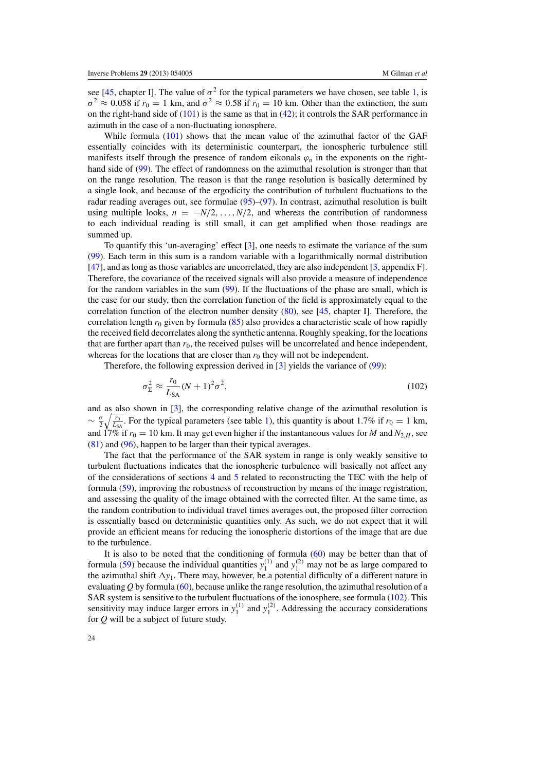see [\[45,](#page-34-0) chapter I]. The value of  $\sigma^2$  for the typical parameters we have chosen, see table [1,](#page-4-0) is  $\sigma^2 \approx 0.058$  if  $r_0 = 1$  km, and  $\sigma^2 \approx 0.58$  if  $r_0 = 10$  km. Other than the extinction, the sum on the right-hand side of  $(101)$  is the same as that in  $(42)$ ; it controls the SAR performance in azimuth in the case of a non-fluctuating ionosphere.

While formula [\(101\)](#page-22-0) shows that the mean value of the azimuthal factor of the GAF essentially coincides with its deterministic counterpart, the ionospheric turbulence still manifests itself through the presence of random eikonals  $\varphi_n$  in the exponents on the righthand side of [\(99\)](#page-22-0). The effect of randomness on the azimuthal resolution is stronger than that on the range resolution. The reason is that the range resolution is basically determined by a single look, and because of the ergodicity the contribution of turbulent fluctuations to the radar reading averages out, see formulae  $(95)$ – $(97)$ . In contrast, azimuthal resolution is built using multiple looks,  $n = -N/2, \ldots, N/2$ , and whereas the contribution of randomness to each individual reading is still small, it can get amplified when those readings are summed up.

To quantify this 'un-averaging' effect [\[3](#page-32-0)], one needs to estimate the variance of the sum [\(99\)](#page-22-0). Each term in this sum is a random variable with a logarithmically normal distribution [\[47](#page-34-0)], and as long as those variables are uncorrelated, they are also independent [\[3](#page-32-0), appendix F]. Therefore, the covariance of the received signals will also provide a measure of independence for the random variables in the sum [\(99\)](#page-22-0). If the fluctuations of the phase are small, which is the case for our study, then the correlation function of the field is approximately equal to the correlation function of the electron number density  $(80)$ , see [\[45,](#page-34-0) chapter I]. Therefore, the correlation length  $r_0$  given by formula [\(85\)](#page-20-0) also provides a characteristic scale of how rapidly the received field decorrelates along the synthetic antenna. Roughly speaking, for the locations that are further apart than  $r_0$ , the received pulses will be uncorrelated and hence independent, whereas for the locations that are closer than  $r_0$  they will not be independent.

Therefore, the following expression derived in [\[3](#page-32-0)] yields the variance of [\(99\)](#page-22-0):

$$
\sigma_{\Sigma}^2 \approx \frac{r_0}{L_{SA}} (N+1)^2 \sigma^2, \qquad (102)
$$

and as also shown in [\[3\]](#page-32-0), the corresponding relative change of the azimuthal resolution is  $\sim \frac{\sigma}{2} \sqrt{\frac{r_0}{L_{\text{SA}}}}$ . For the typical parameters (see table [1\)](#page-4-0), this quantity is about 1.7% if  $r_0 = 1$  km, and 17% if  $r_0 = 10$  km. It may get even higher if the instantaneous values for *M* and  $N_{2,H}$ , see [\(81\)](#page-19-0) and [\(96\)](#page-21-0), happen to be larger than their typical averages.

The fact that the performance of the SAR system in range is only weakly sensitive to turbulent fluctuations indicates that the ionospheric turbulence will basically not affect any of the considerations of sections [4](#page-13-0) and [5](#page-15-0) related to reconstructing the TEC with the help of formula [\(59\)](#page-13-0), improving the robustness of reconstruction by means of the image registration, and assessing the quality of the image obtained with the corrected filter. At the same time, as the random contribution to individual travel times averages out, the proposed filter correction is essentially based on deterministic quantities only. As such, we do not expect that it will provide an efficient means for reducing the ionospheric distortions of the image that are due to the turbulence.

It is also to be noted that the conditioning of formula  $(60)$  may be better than that of formula [\(59\)](#page-13-0) because the individual quantities  $y_1^{(1)}$  and  $y_1^{(2)}$  may not be as large compared to the azimuthal shift  $\Delta y_1$ . There may, however, be a potential difficulty of a different nature in evaluating  $Q$  by formula [\(60\)](#page-13-0), because unlike the range resolution, the azimuthal resolution of a SAR system is sensitive to the turbulent fluctuations of the ionosphere, see formula (102). This sensitivity may induce larger errors in  $y_1^{(1)}$  and  $y_1^{(2)}$ . Addressing the accuracy considerations for *Q* will be a subject of future study.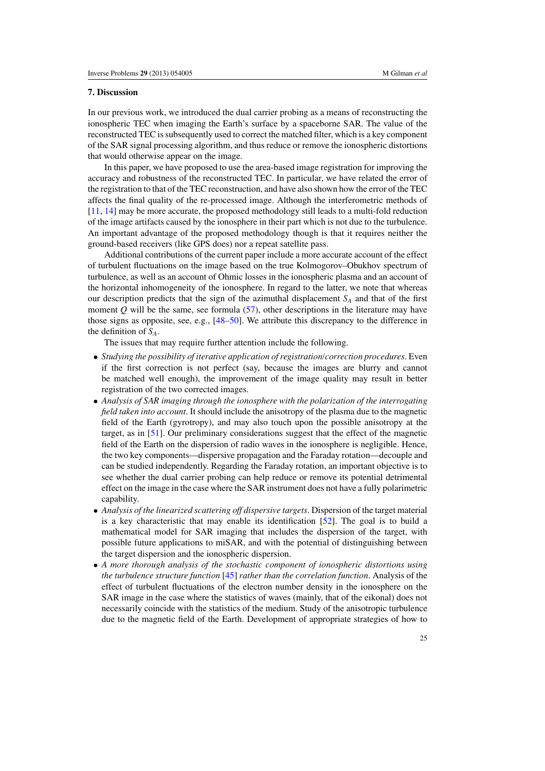# <span id="page-24-0"></span>**7. Discussion**

In our previous work, we introduced the dual carrier probing as a means of reconstructing the ionospheric TEC when imaging the Earth's surface by a spaceborne SAR. The value of the reconstructed TEC is subsequently used to correct the matched filter, which is a key component of the SAR signal processing algorithm, and thus reduce or remove the ionospheric distortions that would otherwise appear on the image.

In this paper, we have proposed to use the area-based image registration for improving the accuracy and robustness of the reconstructed TEC. In particular, we have related the error of the registration to that of the TEC reconstruction, and have also shown how the error of the TEC affects the final quality of the re-processed image. Although the interferometric methods of [\[11](#page-33-0), [14\]](#page-33-0) may be more accurate, the proposed methodology still leads to a multi-fold reduction of the image artifacts caused by the ionosphere in their part which is not due to the turbulence. An important advantage of the proposed methodology though is that it requires neither the ground-based receivers (like GPS does) nor a repeat satellite pass.

Additional contributions of the current paper include a more accurate account of the effect of turbulent fluctuations on the image based on the true Kolmogorov–Obukhov spectrum of turbulence, as well as an account of Ohmic losses in the ionospheric plasma and an account of the horizontal inhomogeneity of the ionosphere. In regard to the latter, we note that whereas our description predicts that the sign of the azimuthal displacement *SA* and that of the first moment *Q* will be the same, see formula [\(57\)](#page-12-0), other descriptions in the literature may have those signs as opposite, see, e.g., [\[48–50\]](#page-34-0). We attribute this discrepancy to the difference in the definition of *SA*.

The issues that may require further attention include the following.

- *Studying the possibility of iterative application of registration/correction procedures*. Even if the first correction is not perfect (say, because the images are blurry and cannot be matched well enough), the improvement of the image quality may result in better registration of the two corrected images.
- *Analysis of SAR imaging through the ionosphere with the polarization of the interrogating field taken into account*. It should include the anisotropy of the plasma due to the magnetic field of the Earth (gyrotropy), and may also touch upon the possible anisotropy at the target, as in [\[51](#page-34-0)]. Our preliminary considerations suggest that the effect of the magnetic field of the Earth on the dispersion of radio waves in the ionosphere is negligible. Hence, the two key components—dispersive propagation and the Faraday rotation—decouple and can be studied independently. Regarding the Faraday rotation, an important objective is to see whether the dual carrier probing can help reduce or remove its potential detrimental effect on the image in the case where the SAR instrument does not have a fully polarimetric capability.
- *Analysis of the linearized scattering off dispersive targets*. Dispersion of the target material is a key characteristic that may enable its identification [\[52](#page-34-0)]. The goal is to build a mathematical model for SAR imaging that includes the dispersion of the target, with possible future applications to miSAR, and with the potential of distinguishing between the target dispersion and the ionospheric dispersion.
- *A more thorough analysis of the stochastic component of ionospheric distortions using the turbulence structure function* [\[45\]](#page-34-0) *rather than the correlation function*. Analysis of the effect of turbulent fluctuations of the electron number density in the ionosphere on the SAR image in the case where the statistics of waves (mainly, that of the eikonal) does not necessarily coincide with the statistics of the medium. Study of the anisotropic turbulence due to the magnetic field of the Earth. Development of appropriate strategies of how to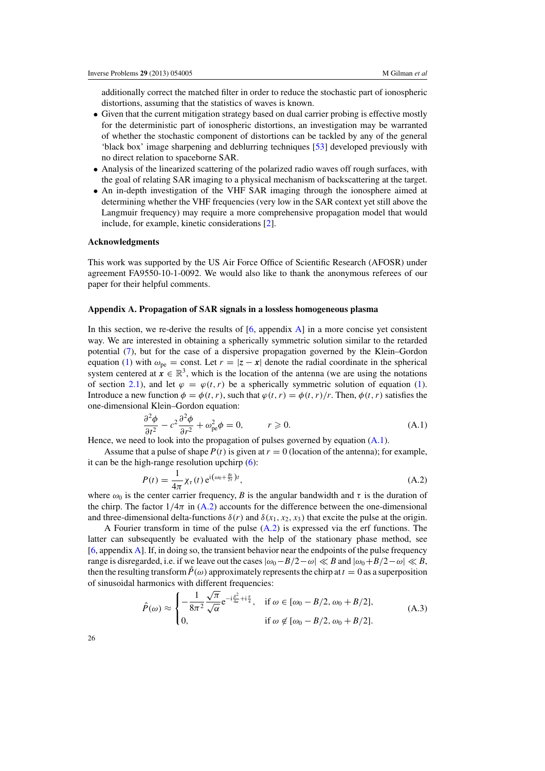<span id="page-25-0"></span>additionally correct the matched filter in order to reduce the stochastic part of ionospheric distortions, assuming that the statistics of waves is known.

- Given that the current mitigation strategy based on dual carrier probing is effective mostly for the deterministic part of ionospheric distortions, an investigation may be warranted of whether the stochastic component of distortions can be tackled by any of the general 'black box' image sharpening and deblurring techniques [\[53](#page-34-0)] developed previously with no direct relation to spaceborne SAR.
- Analysis of the linearized scattering of the polarized radio waves off rough surfaces, with the goal of relating SAR imaging to a physical mechanism of backscattering at the target.
- An in-depth investigation of the VHF SAR imaging through the ionosphere aimed at determining whether the VHF frequencies (very low in the SAR context yet still above the Langmuir frequency) may require a more comprehensive propagation model that would include, for example, kinetic considerations [\[2\]](#page-32-0).

## **Acknowledgments**

This work was supported by the US Air Force Office of Scientific Research (AFOSR) under agreement FA9550-10-1-0092. We would also like to thank the anonymous referees of our paper for their helpful comments.

#### **Appendix A. Propagation of SAR signals in a lossless homogeneous plasma**

In this section, we re-derive the results of  $[6,$  appendix  $\overline{A}$  in a more concise yet consistent way. We are interested in obtaining a spherically symmetric solution similar to the retarded potential [\(7\)](#page-5-0), but for the case of a dispersive propagation governed by the Klein–Gordon equation [\(1\)](#page-4-0) with  $\omega_{\text{pe}} = \text{const.}$  Let  $r = |z - x|$  denote the radial coordinate in the spherical system centered at  $x \in \mathbb{R}^3$ , which is the location of the antenna (we are using the notations of section [2.1\)](#page-4-0), and let  $\varphi = \varphi(t, r)$  be a spherically symmetric solution of equation [\(1\)](#page-4-0). Introduce a new function  $\phi = \phi(t, r)$ , such that  $\phi(t, r) = \phi(t, r)/r$ . Then,  $\phi(t, r)$  satisfies the one-dimensional Klein–Gordon equation:

$$
\frac{\partial^2 \phi}{\partial t^2} - c^2 \frac{\partial^2 \phi}{\partial r^2} + \omega_{\text{pe}}^2 \phi = 0, \qquad r \geqslant 0. \tag{A.1}
$$

Hence, we need to look into the propagation of pulses governed by equation  $(A.1)$ .

Assume that a pulse of shape  $P(t)$  is given at  $r = 0$  (location of the antenna); for example, it can be the high-range resolution upchirp  $(6)$ :

$$
P(t) = \frac{1}{4\pi} \chi_{\tau}(t) e^{i(\omega_0 + \frac{Bt}{2\tau})t},
$$
\n(A.2)

where  $\omega_0$  is the center carrier frequency, *B* is the angular bandwidth and  $\tau$  is the duration of the chirp. The factor  $1/4\pi$  in (A.2) accounts for the difference between the one-dimensional and three-dimensional delta-functions  $\delta(r)$  and  $\delta(x_1, x_2, x_3)$  that excite the pulse at the origin.

A Fourier transform in time of the pulse (A.2) is expressed via the erf functions. The latter can subsequently be evaluated with the help of the stationary phase method, see [\[6](#page-32-0), appendix A]. If, in doing so, the transient behavior near the endpoints of the pulse frequency range is disregarded, i.e. if we leave out the cases  $|\omega_0 - B/2 - \omega| \ll B$  and  $|\omega_0 + B/2 - \omega| \ll B$ , then the resulting transform  $P(\omega)$  approximately represents the chirp at  $t = 0$  as a superposition of sinusoidal harmonics with different frequencies:<br> $\int_0^{\pi} \frac{1}{\sqrt{\pi}} \frac{\sqrt{\pi}}{-i \frac{\beta^2}{\pi} + i \frac{\pi}{\pi}}$ 

$$
\hat{P}(\omega) \approx \begin{cases}\n-\frac{1}{8\pi^2} \frac{\sqrt{\pi}}{\sqrt{\alpha}} e^{-i\frac{\beta^2}{4\alpha} + i\frac{\pi}{4}}, & \text{if } \omega \in [\omega_0 - B/2, \omega_0 + B/2], \\
0, & \text{if } \omega \notin [\omega_0 - B/2, \omega_0 + B/2].\n\end{cases} (A.3)
$$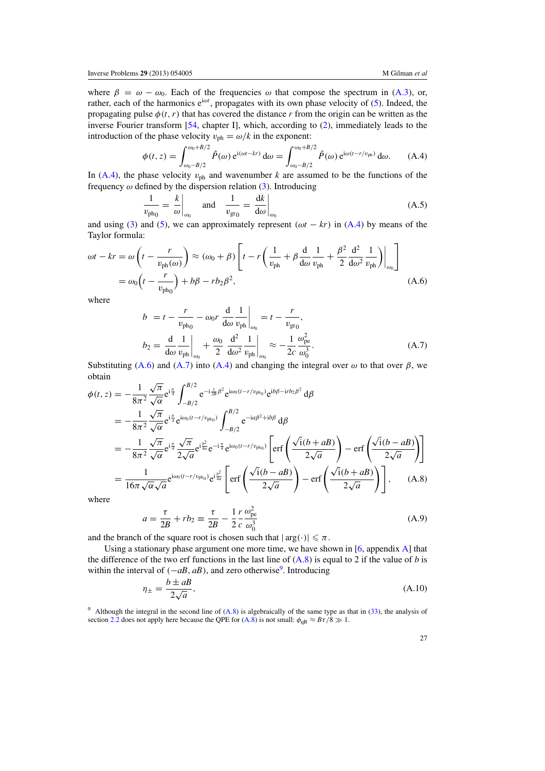<span id="page-26-0"></span>where  $\beta = \omega - \omega_0$ . Each of the frequencies  $\omega$  that compose the spectrum in [\(A.3\)](#page-25-0), or, rather, each of the harmonics e<sup>iωt</sup>, propagates with its own phase velocity of [\(5\)](#page-5-0). Indeed, the propagating pulse  $\phi(t, r)$  that has covered the distance *r* from the origin can be written as the inverse Fourier transform [\[54](#page-34-0), chapter I], which, according to [\(2\)](#page-5-0), immediately leads to the introduction of the phase velocity  $v_{ph} = \omega/k$  in the exponent:

$$
\phi(t,z) = \int_{\omega_0 - B/2}^{\omega_0 + B/2} \hat{P}(\omega) e^{i(\omega t - kr)} d\omega = \int_{\omega_0 - B/2}^{\omega_0 + B/2} \hat{P}(\omega) e^{i\omega (t - r/v_{\text{ph}})} d\omega.
$$
 (A.4)

In (A.4), the phase velocity  $v_{ph}$  and wavenumber k are assumed to be the functions of the frequency  $\omega$  defined by the dispersion relation [\(3\)](#page-5-0). Introducing

$$
\frac{1}{v_{\text{ph}_0}} = \frac{k}{\omega}\Big|_{\omega_0} \quad \text{and} \quad \frac{1}{v_{\text{gr}_0}} = \frac{\mathrm{d}k}{\mathrm{d}\omega}\Big|_{\omega_0} \tag{A.5}
$$

and using [\(3\)](#page-5-0) and [\(5\)](#page-5-0), we can approximately represent ( $\omega t - kr$ ) in (A.4) by means of the Taylor formula:

$$
\omega t - kr = \omega \left( t - \frac{r}{v_{\text{ph}}(\omega)} \right) \approx (\omega_0 + \beta) \left[ t - r \left( \frac{1}{v_{\text{ph}}} + \beta \frac{d}{d\omega} \frac{1}{v_{\text{ph}}} + \frac{\beta^2}{2} \frac{d^2}{d\omega^2} \frac{1}{v_{\text{ph}}} \right) \Big|_{\omega_0} \right]
$$

$$
= \omega_0 \left( t - \frac{r}{v_{\text{ph}_0}} \right) + b\beta - rb_2 \beta^2,
$$
(A.6)

where

$$
b = t - \frac{r}{v_{\text{ph}_0}} - \omega_0 r \frac{d}{d\omega} \frac{1}{v_{\text{ph}}} \Big|_{\omega_0} = t - \frac{r}{v_{\text{gr}_0}},
$$
  

$$
b_2 = \frac{d}{d\omega} \frac{1}{v_{\text{ph}}} \Big|_{\omega_0} + \frac{\omega_0}{2} \frac{d^2}{d\omega^2} \frac{1}{v_{\text{ph}}} \Big|_{\omega_0} \approx -\frac{1}{2c} \frac{\omega_{\text{pe}}^2}{\omega_0^3}.
$$
 (A.7)

Substituting (A.6) and (A.7) into (A.4) and changing the integral over  $\omega$  to that over  $\beta$ , we obtain

obtain  
\n
$$
\phi(t, z) = -\frac{1}{8\pi^2} \frac{\sqrt{\pi}}{\sqrt{\alpha}} e^{i\frac{\pi}{4}} \int_{-B/2}^{B/2} e^{-i\frac{\tau}{2B}\beta^2} e^{i\omega_0(t - r/v_{ph_0})} e^{ib\beta - irb_2\beta^2} d\beta
$$
\n
$$
= -\frac{1}{8\pi^2} \frac{\sqrt{\pi}}{\sqrt{\alpha}} e^{i\frac{\pi}{4}} e^{i\omega_0(t - r/v_{ph_0})} \int_{-B/2}^{B/2} e^{-ia\beta^2 + ib\beta} d\beta
$$
\n
$$
= -\frac{1}{8\pi^2} \frac{\sqrt{\pi}}{\sqrt{\alpha}} e^{i\frac{\pi}{4}} \frac{\sqrt{\pi}}{2\sqrt{a}} e^{i\frac{\beta^2}{4a}} e^{-i\frac{\pi}{4}} e^{i\omega_0(t - r/v_{ph_0})} \left[ erf \left( \frac{\sqrt{i}(b + aB)}{2\sqrt{a}} \right) - erf \left( \frac{\sqrt{i}(b - aB)}{2\sqrt{a}} \right) \right]
$$
\n
$$
= \frac{1}{16\pi \sqrt{\alpha} \sqrt{a}} e^{i\omega_0(t - r/v_{ph_0})} e^{i\frac{b^2}{4a}} \left[ erf \left( \frac{\sqrt{i}(b - aB)}{2\sqrt{a}} \right) - erf \left( \frac{\sqrt{i}(b + aB)}{2\sqrt{a}} \right) \right], \quad (A.8)
$$
\nwhere

where

$$
a = \frac{\tau}{2B} + rb_2 \equiv \frac{\tau}{2B} - \frac{1}{2} \frac{r}{c} \frac{\omega_{\text{pe}}^2}{\omega_0^3}
$$
(A.9)

and the branch of the square root is chosen such that  $|\arg(\cdot)| \le \pi$ .

Using a stationary phase argument one more time, we have shown in [\[6](#page-32-0), appendix [A\]](#page-25-0) that the difference of the two erf functions in the last line of  $(A.8)$  is equal to 2 if the value of *b* is within the interval of  $(-aB, aB)$ , and zero otherwise<sup>9</sup>. Introducing

$$
\eta_{\pm} = \frac{b \pm aB}{2\sqrt{a}},\tag{A.10}
$$

<sup>9</sup> Although the integral in the second line of  $(A.8)$  is algebraically of the same type as that in  $(33)$ , the analysis of section [2.2](#page-8-0) does not apply here because the QPE for (A.8) is not small:  $\phi_{\text{dB}} \approx B\tau/8 \gg 1$ .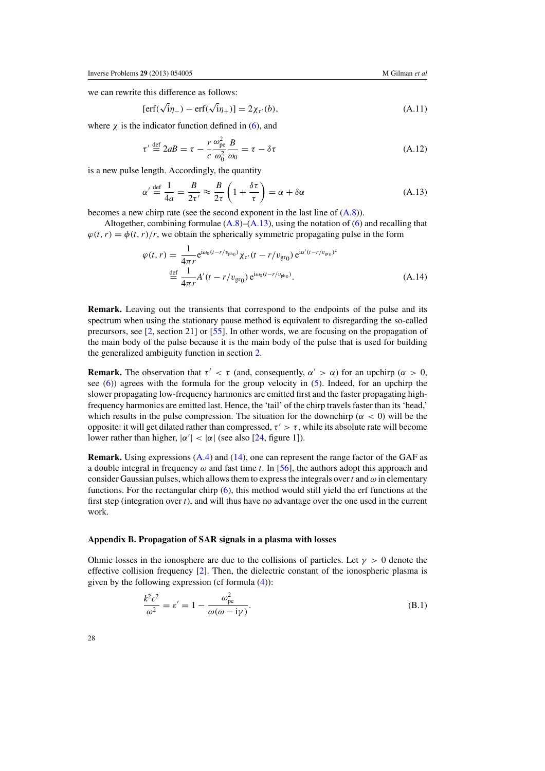<span id="page-27-0"></span>we can rewrite this difference as follows:

$$
[erf(\sqrt{i}\eta_{-}) - erf(\sqrt{i}\eta_{+})] = 2\chi_{\tau'}(b), \qquad (A.11)
$$

where  $\chi$  is the indicator function defined in [\(6\)](#page-5-0), and

$$
\tau' \stackrel{\text{def}}{=} 2aB = \tau - \frac{r}{c} \frac{\omega_{\text{pe}}^2}{\omega_0^2} \frac{B}{\omega_0} = \tau - \delta \tau \tag{A.12}
$$

is a new pulse length. Accordingly, the quantity

$$
\alpha' \stackrel{\text{def}}{=} \frac{1}{4a} = \frac{B}{2\tau'} \approx \frac{B}{2\tau} \left( 1 + \frac{\delta\tau}{\tau} \right) = \alpha + \delta\alpha \tag{A.13}
$$

becomes a new chirp rate (see the second exponent in the last line of [\(A.8\)](#page-26-0)).

Altogether, combining formulae  $(A.8)$ – $(A.13)$ , using the notation of [\(6\)](#page-5-0) and recalling that  $\varphi(t, r) = \varphi(t, r)/r$ , we obtain the spherically symmetric propagating pulse in the form

$$
\varphi(t,r) = \frac{1}{4\pi r} e^{i\omega_0 (t - r/v_{ph_0})} \chi_{\tau'}(t - r/v_{gr_0}) e^{i\alpha'(t - r/v_{gr_0})^2}
$$
  

$$
\stackrel{\text{def}}{=} \frac{1}{4\pi r} A'(t - r/v_{gr_0}) e^{i\omega_0 (t - r/v_{ph_0})}.
$$
 (A.14)

**Remark.** Leaving out the transients that correspond to the endpoints of the pulse and its spectrum when using the stationary pause method is equivalent to disregarding the so-called precursors, see [\[2](#page-32-0), section 21] or [\[55\]](#page-34-0). In other words, we are focusing on the propagation of the main body of the pulse because it is the main body of the pulse that is used for building the generalized ambiguity function in section [2.](#page-4-0)

**Remark.** The observation that  $\tau' < \tau$  (and, consequently,  $\alpha' > \alpha$ ) for an upchirp ( $\alpha > 0$ , see [\(6\)](#page-5-0)) agrees with the formula for the group velocity in [\(5\)](#page-5-0). Indeed, for an upchirp the slower propagating low-frequency harmonics are emitted first and the faster propagating highfrequency harmonics are emitted last. Hence, the 'tail' of the chirp travels faster than its 'head,' which results in the pulse compression. The situation for the downchirp ( $\alpha$  < 0) will be the opposite: it will get dilated rather than compressed,  $\tau' > \tau$ , while its absolute rate will become lower rather than higher,  $|\alpha'| < |\alpha|$  (see also [\[24](#page-33-0), figure 1]).

**Remark.** Using expressions [\(A.4\)](#page-26-0) and [\(14\)](#page-6-0), one can represent the range factor of the GAF as a double integral in frequency  $\omega$  and fast time *t*. In [\[56](#page-34-0)], the authors adopt this approach and consider Gaussian pulses, which allows them to express the integrals over  $t$  and  $\omega$  in elementary functions. For the rectangular chirp [\(6\)](#page-5-0), this method would still yield the erf functions at the first step (integration over  $t$ ), and will thus have no advantage over the one used in the current work.

## **Appendix B. Propagation of SAR signals in a plasma with losses**

Ohmic losses in the ionosphere are due to the collisions of particles. Let  $\gamma > 0$  denote the effective collision frequency  $[2]$ . Then, the dielectric constant of the ionospheric plasma is given by the following expression (cf formula  $(4)$ ):

$$
\frac{k^2c^2}{\omega^2} = \varepsilon' = 1 - \frac{\omega_{\text{pe}}^2}{\omega(\omega - i\gamma)}.
$$
\n(B.1)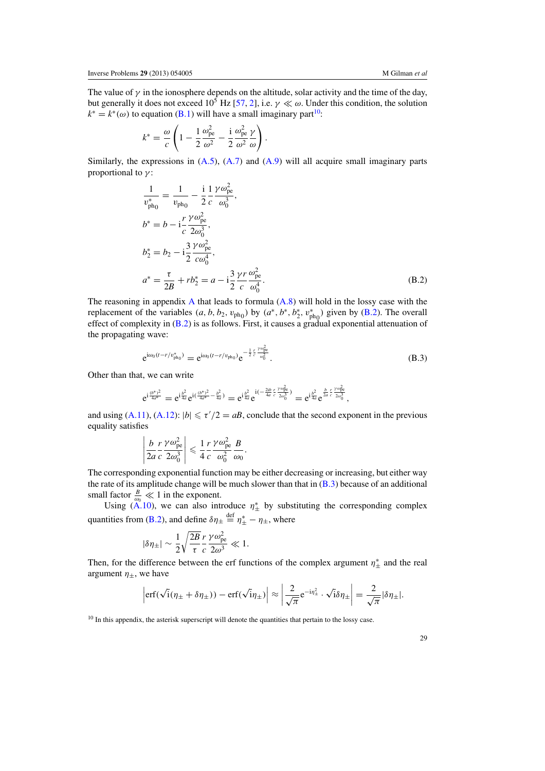<span id="page-28-0"></span>The value of  $\gamma$  in the ionosphere depends on the altitude, solar activity and the time of the day, but generally it does not exceed  $10^5$  Hz [\[57,](#page-34-0) [2](#page-32-0)], i.e.  $\gamma \ll \omega$ . Under this condition, the solution  $k^* = k^*(\omega)$  to equation [\(B.1\)](#page-27-0) will have a small imaginary part<sup>10</sup>:

$$
k^* = \frac{\omega}{c} \left( 1 - \frac{1}{2} \frac{\omega_{\rm pe}^2}{\omega^2} - \frac{i}{2} \frac{\omega_{\rm pe}^2}{\omega^2} \frac{\gamma}{\omega} \right).
$$

Similarly, the expressions in  $(A.5)$ ,  $(A.7)$  and  $(A.9)$  will all acquire small imaginary parts proportional to  $\gamma$ :

$$
\frac{1}{v_{\text{ph}_0}^*} = \frac{1}{v_{\text{ph}_0}} - \frac{\mathrm{i}}{2} \frac{1}{c} \frac{\gamma \omega_{\text{pe}}^2}{\omega_0^3}, \nb^* = b - \mathrm{i} \frac{r}{c} \frac{\gamma \omega_{\text{pe}}^2}{2\omega_0^3}, \nb_2^* = b_2 - \mathrm{i} \frac{3}{2} \frac{\gamma \omega_{\text{pe}}^2}{c\omega_0^4}, \na^* = \frac{\tau}{2B} + r b_2^* = a - \mathrm{i} \frac{3}{2} \frac{\gamma r}{c} \frac{\omega_{\text{pe}}^2}{\omega_0^4}.
$$
\n(B.2)

The reasoning in appendix  $\bf{A}$  $\bf{A}$  $\bf{A}$  that leads to formula  $(A.8)$  will hold in the lossy case with the replacement of the variables  $(a, b, b_2, v_{ph_0})$  by  $(a^*, b^*, b_2^*, v_{ph_0}^*)$  given by (B.2). The overall effect of complexity in (B.2) is as follows. First, it causes a gradual exponential attenuation of the propagating wave:

$$
e^{i\omega_0(t-r/v_{ph_0}^*)} = e^{i\omega_0(t-r/v_{ph_0})}e^{-\frac{1}{2}\frac{r}{c}\frac{v\omega_{pe}^2}{\omega_0^2}}.
$$
\n(B.3)

Other than that, we can write

$$
e^{i\frac{(\hat{b}^*)^2}{4a^*}}=e^{i\frac{b^2}{4a}}e^{i(\frac{(\hat{b}^*)^2}{4a^*}-\frac{\hat{b}^2}{4a})}=e^{i\frac{b^2}{4a}}e^{i(-\frac{2ib}{4a}\frac{r}{c}\frac{\gamma\omega_{pe}^2}{2\omega_0^3})}=e^{i\frac{\hat{b}^2}{4a}}e^{\frac{\hat{b}}{2a}\frac{r}{c}\frac{\gamma\omega_{pe}^2}{2\omega_0^3}},
$$

and using [\(A.11\)](#page-27-0), [\(A.12\)](#page-27-0):  $|b| \le \tau'/2 = aB$ , conclude that the second exponent in the previous equality satisfies

$$
\left|\frac{b}{2a}\frac{r}{c}\frac{\gamma\omega_{\rm pe}^2}{2\omega_0^3}\right| \leqslant \frac{1}{4}\frac{r}{c}\frac{\gamma\omega_{\rm pe}^2}{\omega_0^2}\frac{B}{\omega_0}.
$$

The corresponding exponential function may be either decreasing or increasing, but either way the rate of its amplitude change will be much slower than that in  $(B.3)$  because of an additional small factor  $\frac{B}{\omega_0} \ll 1$  in the exponent.

Using [\(A.10\)](#page-26-0), we can also introduce  $\eta^*_{\pm}$  by substituting the corresponding complex quantities from (B.2), and define  $\delta \eta_{\pm} \stackrel{\text{def}}{=} \eta_{\pm}^* - \eta_{\pm}$ , where

$$
|\delta\eta_{\pm}|\sim\frac{1}{2}\sqrt{\frac{2B}{\tau}}\frac{r}{c}\frac{\gamma\omega_{\rm pe}^2}{2\omega^3}\ll1.
$$

Then, for the difference between the erf functions of the complex argument  $\eta_{\pm}^*$  and the real argument  $\eta_{\pm}$ , we have

$$
\left|\text{erf}(\sqrt{i}(\eta_{\pm}+\delta\eta_{\pm}))-\text{erf}(\sqrt{i}\eta_{\pm})\right|\approx\left|\frac{2}{\sqrt{\pi}}e^{-i\eta_{\pm}^2}\cdot\sqrt{i}\delta\eta_{\pm}\right|=\frac{2}{\sqrt{\pi}}|\delta\eta_{\pm}|.
$$

<sup>&</sup>lt;sup>10</sup> In this appendix, the asterisk superscript will denote the quantities that pertain to the lossy case.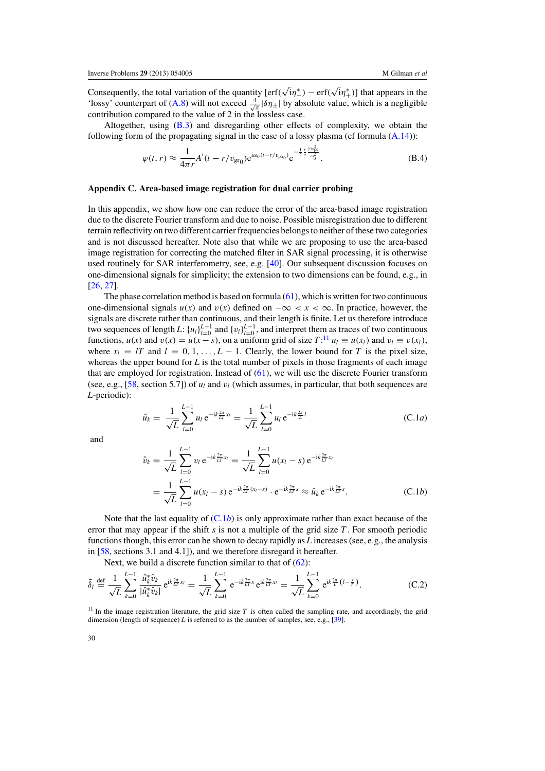<span id="page-29-0"></span>Consequently, the total variation of the quantity [erf(  $\sqrt{i}\eta^*$  – erf(  $\sqrt{i}\eta^*$ )] that appears in the 'lossy' counterpart of [\(A.8\)](#page-26-0) will not exceed  $\frac{4}{\sqrt{\pi}}|\delta\eta_{\pm}|$  by absolute value, which is a negligible contribution compared to the value of 2 in the lossless case.

Altogether, using [\(B.3\)](#page-28-0) and disregarding other effects of complexity, we obtain the following form of the propagating signal in the case of a lossy plasma (cf formula  $(A.14)$ ):

$$
\varphi(t,r) \approx \frac{1}{4\pi r} A'(t-r/v_{\rm gr_0}) e^{i\omega_0(t-r/v_{\rm ph_0})} e^{-\frac{1}{2}\frac{r}{c}\frac{y\omega_{\rm pe}^2}{\omega_0^2}}.
$$
 (B.4)

# **Appendix C. Area-based image registration for dual carrier probing**

In this appendix, we show how one can reduce the error of the area-based image registration due to the discrete Fourier transform and due to noise. Possible misregistration due to different terrain reflectivity on two different carrier frequencies belongs to neither of these two categories and is not discussed hereafter. Note also that while we are proposing to use the area-based image registration for correcting the matched filter in SAR signal processing, it is otherwise used routinely for SAR interferometry, see, e.g. [\[40\]](#page-34-0). Our subsequent discussion focuses on one-dimensional signals for simplicity; the extension to two dimensions can be found, e.g., in [\[26](#page-33-0), [27](#page-33-0)].

The phase correlation method is based on formula  $(61)$ , which is written for two continuous one-dimensional signals  $u(x)$  and  $v(x)$  defined on  $-\infty < x < \infty$ . In practice, however, the signals are discrete rather than continuous, and their length is finite. Let us therefore introduce two sequences of length *L*:  $\{u_l\}_{l=0}^{L-1}$  and  $\{v_l\}_{l=0}^{L-1}$ , and interpret them as traces of two continuous functions,  $u(x)$  and  $v(x) = u(x - s)$ , on a uniform grid of size  $T: \mathbb{R}^1 u_l \equiv u(x_l)$  and  $v_l \equiv v(x_l)$ , where  $x_l = lT$  and  $l = 0, 1, \ldots, L - 1$ . Clearly, the lower bound for *T* is the pixel size, whereas the upper bound for *L* is the total number of pixels in those fragments of each image that are employed for registration. Instead of  $(61)$ , we will use the discrete Fourier transform (see, e.g., [\[58](#page-34-0), section 5.7]) of  $u_l$  and  $v_l$  (which assumes, in particular, that both sequences are *L*-periodic):

$$
\hat{u}_k = \frac{1}{\sqrt{L}} \sum_{l=0}^{L-1} u_l e^{-ik\frac{2\pi}{LT}x_l} = \frac{1}{\sqrt{L}} \sum_{l=0}^{L-1} u_l e^{-ik\frac{2\pi}{L}l}
$$
 (C.1*a*)

and

$$
\hat{v}_k = \frac{1}{\sqrt{L}} \sum_{l=0}^{L-1} v_l e^{-ik\frac{2\pi}{LT}x_l} = \frac{1}{\sqrt{L}} \sum_{l=0}^{L-1} u(x_l - s) e^{-ik\frac{2\pi}{LT}x_l}
$$
\n
$$
= \frac{1}{\sqrt{L}} \sum_{l=0}^{L-1} u(x_l - s) e^{-ik\frac{2\pi}{LT}(x_l - s)} \cdot e^{-ik\frac{2\pi}{LT}s} \approx \hat{u}_k e^{-ik\frac{2\pi}{LT}s}.
$$
\n(C.1b)

Note that the last equality of  $(C.1b)$  is only approximate rather than exact because of the error that may appear if the shift *s* is not a multiple of the grid size *T*. For smooth periodic functions though, this error can be shown to decay rapidly as *L* increases (see, e.g., the analysis in [\[58](#page-34-0), sections 3.1 and 4.1]), and we therefore disregard it hereafter.

Next, we build a discrete function similar to that of  $(62)$ :

$$
\tilde{\delta}_l \stackrel{\text{def}}{=} \frac{1}{\sqrt{L}} \sum_{k=0}^{L-1} \frac{\hat{u}_k^* \hat{v}_k}{|\hat{u}_k^* \hat{v}_k|} e^{ik\frac{2\pi}{LT}x_l} = \frac{1}{\sqrt{L}} \sum_{k=0}^{L-1} e^{-ik\frac{2\pi}{LT}s} e^{ik\frac{2\pi}{LT}x_l} = \frac{1}{\sqrt{L}} \sum_{k=0}^{L-1} e^{ik\frac{2\pi}{L} (l - \frac{s}{T})}. \tag{C.2}
$$

<sup>11</sup> In the image registration literature, the grid size  $T$  is often called the sampling rate, and accordingly, the grid dimension (length of sequence) *L* is referred to as the number of samples, see, e.g., [\[39\]](#page-34-0).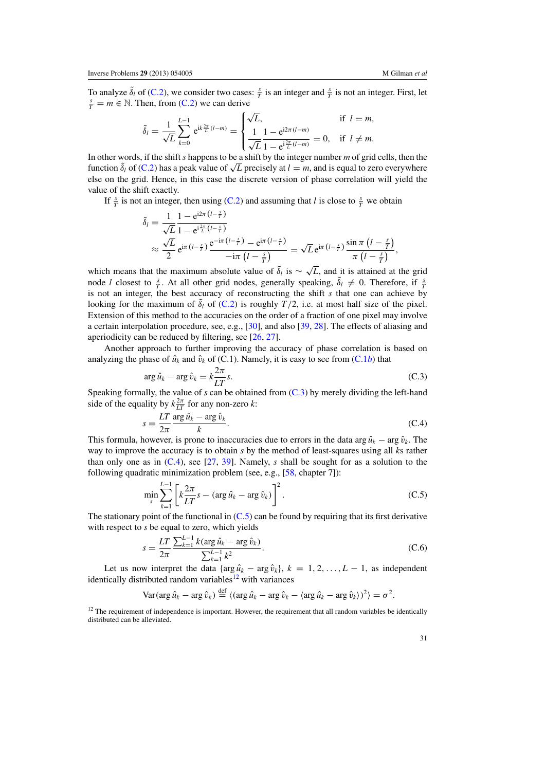<span id="page-30-0"></span>To analyze  $\delta_l$  of [\(C.2\)](#page-29-0), we consider two cases:  $\frac{s}{T}$  is an integer and  $\frac{s}{T}$  is not an integer. First, let  $\frac{s}{T} = m \in \mathbb{N}$ . Then, from (C.2) we can derive  $\frac{s}{T} = m \in \mathbb{N}$ . Then, from [\(C.2\)](#page-29-0) we can derive

$$
\tilde{\delta}_l = \frac{1}{\sqrt{L}} \sum_{k=0}^{L-1} e^{ik\frac{2\pi}{L}(l-m)} = \begin{cases} \sqrt{L}, & \text{if } l=m, \\ \frac{1}{\sqrt{L}} \frac{1 - e^{i2\pi (l-m)}}{1 - e^{i\frac{2\pi}{L}(l-m)}} = 0, & \text{if } l \neq m. \end{cases}
$$

In other words, if the shift *s* happens to be a shift by the integer number *m* of grid cells, then the In other words, if the shift *s* happens to be a shift by the integer number *m* of grid cells, then the function  $\tilde{\delta}_l$  of [\(C.2\)](#page-29-0) has a peak value of  $\sqrt{L}$  precisely at  $l = m$ , and is equal to zero everywhere else on the grid. Hence, in this case the discrete version of phase correlation will yield the value of the shift exactly.

If  $\frac{s}{T}$  is not an integer, then using [\(C.2\)](#page-29-0) and assuming that *l* is close to  $\frac{s}{T}$  we obtain

$$
\begin{split} \tilde{\delta}_{l} &= \frac{1}{\sqrt{L}} \frac{1 - e^{i2\pi \left(l - \frac{z}{T}\right)}}{1 - e^{i\frac{2\pi}{L}\left(l - \frac{z}{T}\right)}} \\ &\approx \frac{\sqrt{L}}{2} e^{i\pi \left(l - \frac{z}{T}\right)} \frac{e^{-i\pi \left(l - \frac{z}{T}\right)}}{-i\pi \left(l - \frac{s}{T}\right)} = \sqrt{L} e^{i\pi \left(l - \frac{z}{T}\right)} \frac{\sin \pi \left(l - \frac{s}{T}\right)}{\pi \left(l - \frac{z}{T}\right)}, \end{split}
$$

which means that the maximum absolute value of  $\delta_l$  is  $\sim \sqrt{L}$ , and it is attained at the grid node *l* closest to  $\frac{s}{T}$ . At all other grid nodes, generally speaking,  $\delta_l \neq 0$ . Therefore, if  $\frac{s}{T}$ is not an integer, the best accuracy of reconstructing the shift *s* that one can achieve by looking for the maximum of  $\tilde{\delta}_l$  of [\(C.2\)](#page-29-0) is roughly  $T/2$ , i.e. at most half size of the pixel. Extension of this method to the accuracies on the order of a fraction of one pixel may involve a certain interpolation procedure, see, e.g., [\[30\]](#page-33-0), and also [\[39,](#page-34-0) [28\]](#page-33-0). The effects of aliasing and aperiodicity can be reduced by filtering, see [\[26,](#page-33-0) [27\]](#page-33-0).

Another approach to further improving the accuracy of phase correlation is based on analyzing the phase of  $\hat{u}_k$  and  $\hat{v}_k$  of [\(C.1](#page-29-0)). Namely, it is easy to see from (C.1*b*) that

$$
\arg \hat{u}_k - \arg \hat{v}_k = k \frac{2\pi}{LT} s. \tag{C.3}
$$

Speaking formally, the value of *s* can be obtained from (C.3) by merely dividing the left-hand side of the equality by  $k \frac{2\pi}{LT}$  for any non-zero *k*:

$$
s = \frac{LT}{2\pi} \frac{\arg \hat{u}_k - \arg \hat{v}_k}{k}.
$$
 (C.4)

This formula, however, is prone to inaccuracies due to errors in the data arg  $\hat{u}_k$  − arg  $\hat{v}_k$ . The way to improve the accuracy is to obtain *s* by the method of least-squares using all *k*s rather than only one as in (C.4), see [\[27](#page-33-0), [39](#page-34-0)]. Namely, *s* shall be sought for as a solution to the following quadratic minimization problem (see, e.g., [\[58](#page-34-0), chapter 7]):

$$
\min_{s} \sum_{k=1}^{L-1} \left[ k \frac{2\pi}{LT} s - (\arg \hat{u}_k - \arg \hat{v}_k) \right]^2.
$$
 (C.5)

The stationary point of the functional in (C.5) can be found by requiring that its first derivative with respect to *s* be equal to zero, which yields

$$
s = \frac{LT}{2\pi} \frac{\sum_{k=1}^{L-1} k(\arg \hat{u}_k - \arg \hat{v}_k)}{\sum_{k=1}^{L-1} k^2}.
$$
 (C.6)

Let us now interpret the data { $\arg \hat{u}_k - \arg \hat{v}_k$ },  $k = 1, 2, ..., L - 1$ , as independent identically distributed random variables $12$  with variances

$$
\text{Var}(\arg \hat{u}_k - \arg \hat{v}_k) \stackrel{\text{def}}{=} \langle (\arg \hat{u}_k - \arg \hat{v}_k - \langle \arg \hat{u}_k - \arg \hat{v}_k \rangle)^2 \rangle = \sigma^2.
$$

 $12$  The requirement of independence is important. However, the requirement that all random variables be identically distributed can be alleviated.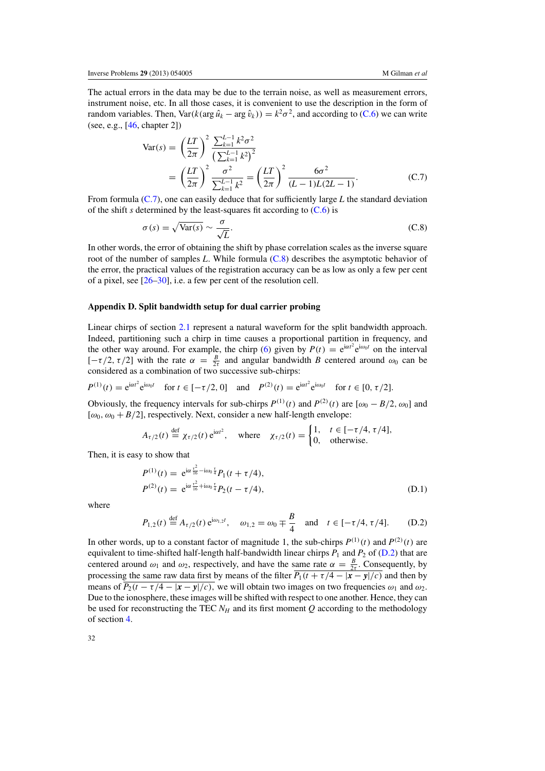<span id="page-31-0"></span>The actual errors in the data may be due to the terrain noise, as well as measurement errors, instrument noise, etc. In all those cases, it is convenient to use the description in the form of random variables. Then, Var( $k(\arg \hat{u}_k - \arg \hat{v}_k) = k^2 \sigma^2$ , and according to [\(C.6\)](#page-30-0) we can write (see, e.g., [\[46,](#page-34-0) chapter 2])

$$
\begin{split} \text{Var}(s) &= \left(\frac{LT}{2\pi}\right)^2 \frac{\sum_{k=1}^{L-1} k^2 \sigma^2}{\left(\sum_{k=1}^{L-1} k^2\right)^2} \\ &= \left(\frac{LT}{2\pi}\right)^2 \frac{\sigma^2}{\sum_{k=1}^{L-1} k^2} = \left(\frac{LT}{2\pi}\right)^2 \frac{6\sigma^2}{(L-1)L(2L-1)} .\end{split} \tag{C.7}
$$

From formula (C.7), one can easily deduce that for sufficiently large *L* the standard deviation of the shift *s* determined by the least-squares fit according to  $(C.6)$  is

$$
\sigma(s) = \sqrt{\text{Var}(s)} \sim \frac{\sigma}{\sqrt{L}}.\tag{C.8}
$$

In other words, the error of obtaining the shift by phase correlation scales as the inverse square root of the number of samples *L*. While formula (C.8) describes the asymptotic behavior of the error, the practical values of the registration accuracy can be as low as only a few per cent of a pixel, see [\[26–30\]](#page-33-0), i.e. a few per cent of the resolution cell.

## **Appendix D. Split bandwidth setup for dual carrier probing**

Linear chirps of section [2.1](#page-4-0) represent a natural waveform for the split bandwidth approach. Indeed, partitioning such a chirp in time causes a proportional partition in frequency, and the other way around. For example, the chirp [\(6\)](#page-5-0) given by  $P(t) = e^{i\alpha t^2} e^{i\omega_0 t}$  on the interval [ $-\tau/2$ ,  $\tau/2$ ] with the rate  $\alpha = \frac{B}{2\tau}$  and angular bandwidth *B* centered around  $\omega_0$  can be considered as a combination of two successive sub-chirps:

$$
P^{(1)}(t) = e^{i\alpha t^2} e^{i\omega_0 t}
$$
 for  $t \in [-\tau/2, 0]$  and  $P^{(2)}(t) = e^{i\alpha t^2} e^{i\omega_0 t}$  for  $t \in [0, \tau/2]$ .

Obviously, the frequency intervals for sub-chirps  $P^{(1)}(t)$  and  $P^{(2)}(t)$  are  $[\omega_0 - B/2, \omega_0]$  and [ $\omega_0$ ,  $\omega_0 + B/2$ ], respectively. Next, consider a new half-length envelope:

$$
A_{\tau/2}(t) \stackrel{\text{def}}{=} \chi_{\tau/2}(t) e^{i\alpha t^2}, \quad \text{where} \quad \chi_{\tau/2}(t) = \begin{cases} 1, & t \in [-\tau/4, \tau/4], \\ 0, & \text{otherwise.} \end{cases}
$$

Then, it is easy to show that

$$
P^{(1)}(t) = e^{i\alpha \frac{t^2}{16} - i\omega_0 \frac{t}{4}} P_1(t + \tau/4),
$$
  
\n
$$
P^{(2)}(t) = e^{i\alpha \frac{t^2}{16} + i\omega_0 \frac{t}{4}} P_2(t - \tau/4),
$$
\n(D.1)

where

$$
P_{1,2}(t) \stackrel{\text{def}}{=} A_{\tau/2}(t) e^{i\omega_{1,2}t}, \quad \omega_{1,2} = \omega_0 \mp \frac{B}{4} \quad \text{and} \quad t \in [-\tau/4, \tau/4].
$$
 (D.2)

In other words, up to a constant factor of magnitude 1, the sub-chirps  $P^{(1)}(t)$  and  $P^{(2)}(t)$  are equivalent to time-shifted half-length half-bandwidth linear chirps  $P_1$  and  $P_2$  of (D.2) that are centered around  $\omega_1$  and  $\omega_2$ , respectively, and have the same rate  $\alpha = \frac{B}{2\tau}$ . Consequently, by processing the same raw data first by means of the filter  $\overline{P_1(t + \tau/4 - |x - y|/c)}$  and then by means of  $\overline{P_2(t-\tau/4-|x-y|/c)}$ , we will obtain two images on two frequencies  $\omega_1$  and  $\omega_2$ . Due to the ionosphere, these images will be shifted with respect to one another. Hence, they can be used for reconstructing the TEC  $N_H$  and its first moment  $Q$  according to the methodology of section [4.](#page-13-0)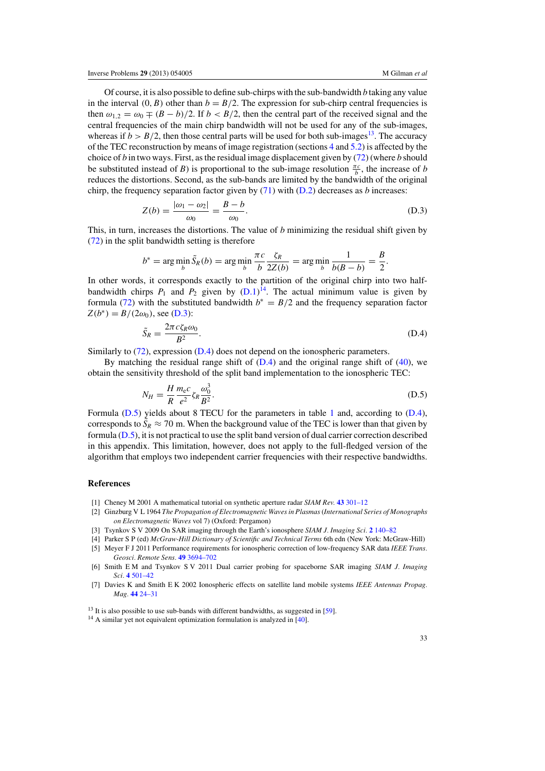<span id="page-32-0"></span>Of course, it is also possible to define sub-chirps with the sub-bandwidth *b* taking any value in the interval  $(0, B)$  other than  $b = B/2$ . The expression for sub-chirp central frequencies is then  $\omega_{1,2} = \omega_0 \mp (B - b)/2$ . If  $b < B/2$ , then the central part of the received signal and the central frequencies of the main chirp bandwidth will not be used for any of the sub-images, whereas if  $b > B/2$ , then those central parts will be used for both sub-images<sup>13</sup>. The accuracy of the TEC reconstruction by means of image registration (sections [4](#page-13-0) and [5.2\)](#page-16-0) is affected by the choice of *b* in two ways. First, as the residual image displacement given by [\(72\)](#page-17-0) (where *b* should be substituted instead of *B*) is proportional to the sub-image resolution  $\frac{\pi c}{b}$ , the increase of *b* reduces the distortions. Second, as the sub-bands are limited by the bandwidth of the original chirp, the frequency separation factor given by [\(71\)](#page-17-0) with [\(D.2\)](#page-31-0) decreases as *b* increases:

$$
Z(b) = \frac{|\omega_1 - \omega_2|}{\omega_0} = \frac{B - b}{\omega_0}.
$$
 (D.3)

This, in turn, increases the distortions. The value of *b* minimizing the residual shift given by [\(72\)](#page-17-0) in the split bandwidth setting is therefore

$$
b^* = \arg\min_b \tilde{S}_R(b) = \arg\min_b \frac{\pi c}{b} \frac{\zeta_R}{2Z(b)} = \arg\min_b \frac{1}{b(B-b)} = \frac{B}{2}.
$$

In other words, it corresponds exactly to the partition of the original chirp into two halfbandwidth chirps  $P_1$  and  $P_2$  given by  $(D.1)^{14}$  $(D.1)^{14}$ . The actual minimum value is given by formula [\(72\)](#page-17-0) with the substituted bandwidth  $b<sup>*</sup> = B/2$  and the frequency separation factor  $Z(b^*) = B/(2\omega_0)$ , see (D.3):

$$
\tilde{S}_R = \frac{2\pi c \zeta_R \omega_0}{B^2}.
$$
\n(D.4)

Similarly to [\(72\)](#page-17-0), expression (D.4) does not depend on the ionospheric parameters.

By matching the residual range shift of  $(D.4)$  and the original range shift of  $(40)$ , we obtain the sensitivity threshold of the split band implementation to the ionospheric TEC:

$$
N_H = \frac{H}{R} \frac{m_e c}{e^2} \zeta_R \frac{\omega_0^3}{B^2}.
$$
\n(D.5)

Formula (D.5) yields about 8 TECU for the parameters in table [1](#page-4-0) and, according to (D.4), corresponds to  $\tilde{S}_R \approx 70$  m. When the background value of the TEC is lower than that given by formula (D.5), it is not practical to use the split band version of dual carrier correction described in this appendix. This limitation, however, does not apply to the full-fledged version of the algorithm that employs two independent carrier frequencies with their respective bandwidths.

# **References**

- [1] Cheney M 2001 A mathematical tutorial on synthetic aperture radar *SIAM Rev.* **43** [301–12](http://dx.doi.org/10.1137/S0036144500368859)
- [2] Ginzburg V L 1964 *The Propagation of Electromagnetic Waves in Plasmas*(*International Series of Monographs on Electromagnetic Waves* vol 7) (Oxford: Pergamon)
- [3] Tsynkov S V 2009 On SAR imaging through the Earth's ionosphere *SIAM J. Imaging Sci.* **2** [140–82](http://dx.doi.org/10.1137/080721509)
- [4] Parker S P (ed) *McGraw-Hill Dictionary of Scientific and Technical Terms* 6th edn (New York: McGraw-Hill) [5] Meyer F J 2011 Performance requirements for ionospheric correction of low-frequency SAR data *IEEE Trans. Geosci. Remote Sens.* **49** [3694–702](http://dx.doi.org/10.1109/TGRS.2011.2146786)
- [6] Smith E M and Tsynkov S V 2011 Dual carrier probing for spaceborne SAR imaging *SIAM J. Imaging Sci.* **4** [501–42](http://dx.doi.org/10.1137/10078325X)
- [7] Davies K and Smith E K 2002 Ionospheric effects on satellite land mobile systems *IEEE Antennas Propag. Mag.* **44** [24–31](http://dx.doi.org/10.1109/MAP.2002.1167260)

<sup>&</sup>lt;sup>13</sup> It is also possible to use sub-bands with different bandwidths, as suggested in [\[59](#page-34-0)].

<sup>&</sup>lt;sup>14</sup> A similar yet not equivalent optimization formulation is analyzed in [\[40\]](#page-34-0).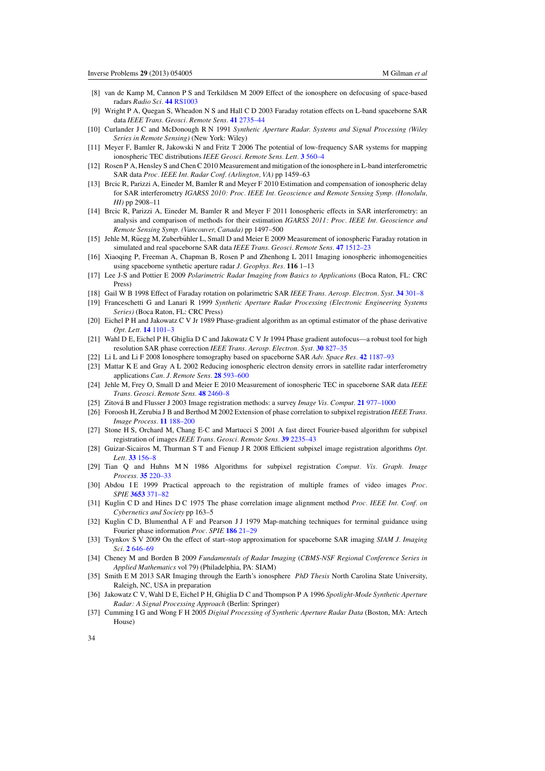- <span id="page-33-0"></span>[8] van de Kamp M, Cannon P S and Terkildsen M 2009 Effect of the ionosphere on defocusing of space-based radars *Radio Sci.* **44** [RS1003](http://dx.doi.org/10.1029/2007RS003808)
- [9] Wright P A, Quegan S, Wheadon N S and Hall C D 2003 Faraday rotation effects on L-band spaceborne SAR data *IEEE Trans. Geosci. Remote Sens.* **41** [2735–44](http://dx.doi.org/10.1109/TGRS.2003.815399)
- [10] Curlander J C and McDonough R N 1991 *Synthetic Aperture Radar. Systems and Signal Processing (Wiley Series in Remote Sensing)* (New York: Wiley)
- [11] Meyer F, Bamler R, Jakowski N and Fritz T 2006 The potential of low-frequency SAR systems for mapping ionospheric TEC distributions *IEEE Geosci. Remote Sens. Lett.* **3** [560–4](http://dx.doi.org/10.1109/LGRS.2006.882148)
- [12] Rosen P A, Hensley S and Chen C 2010 Measurement and mitigation of the ionosphere in L-band interferometric SAR data *Proc. IEEE Int. Radar Conf. (Arlington, VA)* pp 1459–63
- [13] Brcic R, Parizzi A, Eineder M, Bamler R and Meyer F 2010 Estimation and compensation of ionospheric delay for SAR interferometry *IGARSS 2010: Proc. IEEE Int. Geoscience and Remote Sensing Symp. (Honolulu, HI)* pp 2908–11
- [14] Brcic R, Parizzi A, Eineder M, Bamler R and Meyer F 2011 Ionospheric effects in SAR interferometry: an analysis and comparison of methods for their estimation *IGARSS 2011: Proc. IEEE Int. Geoscience and Remote Sensing Symp. (Vancouver, Canada)* pp 1497–500
- [15] Jehle M, Rüegg M, Zuberbühler L, Small D and Meier E 2009 Measurement of ionospheric Faraday rotation in simulated and real spaceborne SAR data *IEEE Trans. Geosci. Remote Sens.* **47** [1512–23](http://dx.doi.org/10.1109/TGRS.2008.2004710)
- [16] Xiaoqing P, Freeman A, Chapman B, Rosen P and Zhenhong L 2011 Imaging ionospheric inhomogeneities using spaceborne synthetic aperture radar *J. Geophys. Res.* **116** 1–13
- [17] Lee J-S and Pottier E 2009 *Polarimetric Radar Imaging from Basics to Applications* (Boca Raton, FL: CRC Press[\)](http://dx.doi.org/10.1201/CRCOPTSCIENG)
- [18] Gail W B 1998 Effect of Faraday rotation on polarimetric SAR *IEEE Trans. Aerosp. Electron. Syst.* **34** [301–8](http://dx.doi.org/10.1109/7.640287)
- [19] Franceschetti G and Lanari R 1999 *Synthetic Aperture Radar Processing (Electronic Engineering Systems Series)* (Boca Raton, FL: CRC Press)
- [20] Eichel P H and Jakowatz C V Jr 1989 Phase-gradient algorithm as an optimal estimator of the phase derivative *Opt. Lett.* **14** [1101–3](http://dx.doi.org/10.1364/OL.14.001101)
- [21] Wahl D E, Eichel P H, Ghiglia D C and Jakowatz C V Jr 1994 Phase gradient autofocus—a robust tool for high resolution SAR phase correction *IEEE Trans. Aerosp. Electron. Syst.* **30** [827–35](http://dx.doi.org/10.1109/7.303752)
- [22] Li L and Li F 2008 Ionosphere tomography based on spaceborne SAR *Adv. Space Res.* **42** [1187–93](http://dx.doi.org/10.1016/j.asr.2007.11.022)
- [23] Mattar K E and Gray A L 2002 Reducing ionospheric electron density errors in satellite radar interferometry applications *Can. J. Remote Sens.* **28** [593–600](http://dx.doi.org/10.5589/m02-051)
- [24] Jehle M, Frey O, Small D and Meier E 2010 Measurement of ionospheric TEC in spaceborne SAR data *IEEE Trans. Geosci. Remote Sens.* **48** [2460–8](http://dx.doi.org/10.1109/TGRS.2010.2040621)
- [25] Zitová B and Flusser J 2003 Image registration methods: a survey *Image Vis. Comput.* **21** [977–1000](http://dx.doi.org/10.1016/S0262-8856(03)00137-9)
- [26] Foroosh H, Zerubia J B and Berthod M 2002 Extension of phase correlation to subpixel registration *IEEE Trans. Image Process.* **11** [188–200](http://dx.doi.org/10.1109/83.988953)
- [27] Stone H S, Orchard M, Chang E-C and Martucci S 2001 A fast direct Fourier-based algorithm for subpixel registration of images *IEEE Trans. Geosci. Remote Sens.* **39** [2235–43](http://dx.doi.org/10.1109/36.957286)
- [28] Guizar-Sicairos M, Thurman S T and Fienup J R 2008 Efficient subpixel image registration algorithms *Opt. Lett.* **33** [156–8](http://dx.doi.org/10.1364/OL.33.000156)
- [29] Tian Q and Huhns M N 1986 Algorithms for subpixel registration *Comput. Vis. Graph. Image Process.* **35** [220–33](http://dx.doi.org/10.1016/0734-189X(86)90028-9)
- [30] Abdou I E 1999 Practical approach to the registration of multiple frames of video images *Proc. SPIE* **3653** [371–82](http://dx.doi.org/10.1117/12.334685)
- [31] Kuglin C D and Hines D C 1975 The phase correlation image alignment method *Proc. IEEE Int. Conf. on Cybernetics and Society* pp 163–5
- [32] Kuglin C D, Blumenthal A F and Pearson J J 1979 Map-matching techniques for terminal guidance using Fourier phase information *Proc. SPIE* **186** [21–29](http://dx.doi.org/10.1117/12.957495)
- [33] Tsynkov S V 2009 On the effect of start–stop approximation for spaceborne SAR imaging *SIAM J. Imaging Sci.* **2** [646–69](http://dx.doi.org/10.1137/08074026X)
- [34] Cheney M and Borden B 2009 *Fundamentals of Radar Imaging* (*CBMS-NSF Regional Conference Series in Applied Mathematics* vol 79) (Philadelphia, PA: SIAM[\)](http://dx.doi.org/10.1137/1.9780898719291)
- [35] Smith E M 2013 SAR Imaging through the Earth's ionosphere *PhD Thesis* North Carolina State University, Raleigh, NC, USA in preparation
- [36] Jakowatz C V, Wahl D E, Eichel P H, Ghiglia D C and Thompson P A 1996 *Spotlight-Mode Synthetic Aperture Radar: A Signal Processing Approach* (Berlin: Springer[\)](http://dx.doi.org/10.1007/978-1-4613-1333-5)
- [37] Cumming I G and Wong F H 2005 *Digital Processing of Synthetic Aperture Radar Data* (Boston, MA: Artech House)